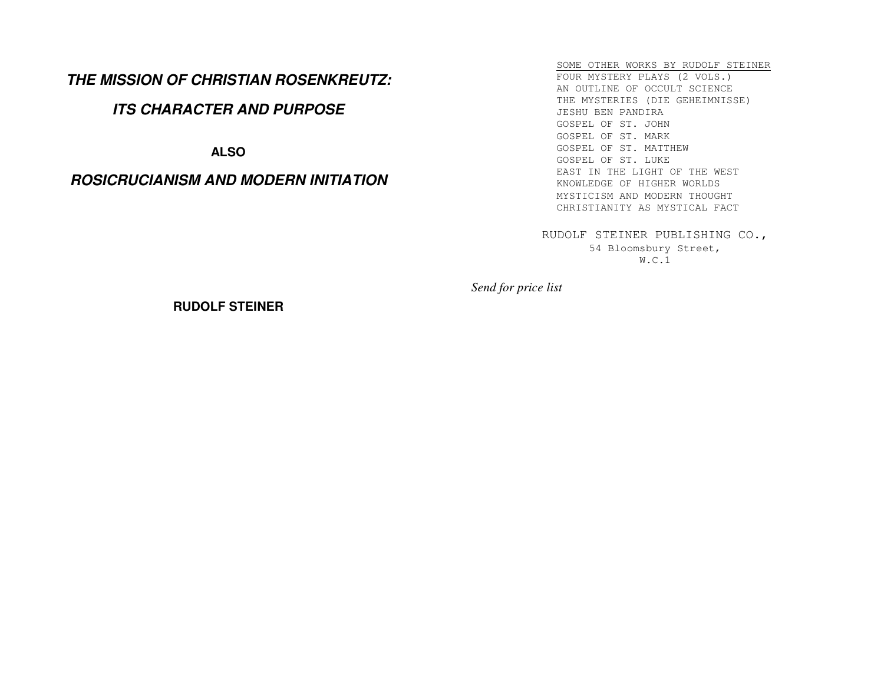# **THE MISSION OF CHRISTIAN ROSENKREUTZ:**

# **ITS CHARACTER AND PURPOSE**

**ALSO** 

# **ROSICRUCIANISM AND MODERN INITIATION**

SOME OTHER WORKS BY RUDOLF STEINERFOUR MYSTERY PLAYS (2 VOLS.) AN OUTLINE OF OCCULT SCIENCE THE MYSTERIES (DIE GEHEIMNISSE) JESHU BEN PANDIRA GOSPEL OF ST. JOHN GOSPEL OF ST. MARK GOSPEL OF ST. MATTHEW GOSPEL OF ST. LUKE EAST IN THE LIGHT OF THE WEST KNOWLEDGE OF HIGHER WORLDS MYSTICISM AND MODERN THOUGHT CHRISTIANITY AS MYSTICAL FACT

RUDOLF STEINER PUBLISHING CO., 54 Bloomsbury Street, W.C.1

*Send for price list* 

**RUDOLF STEINER**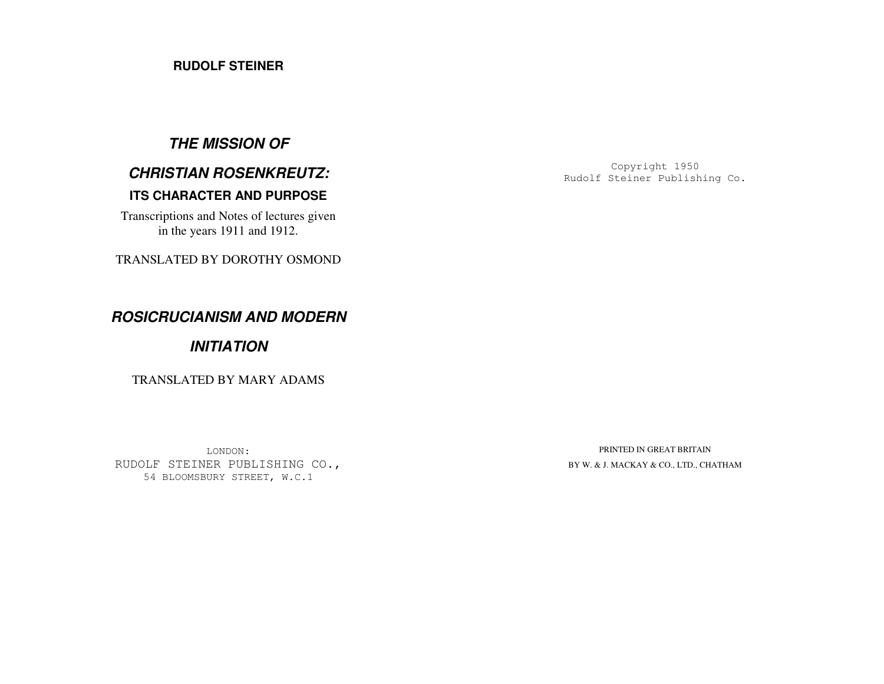### **RUDOLF STEINER**

# **THE MISSION OF**

# **CHRISTIAN ROSENKREUTZ:**

## **ITS CHARACTER AND PURPOSE**

Transcriptions and Notes of lectures given in the years 1911 and 1912.

TRANSLATED BY DOROTHY OSMOND

**ROSICRUCIANISM AND MODERN** 

## **INITIATION**

TRANSLATED BY MARY ADAMS

LONDON: RUDOLF STEINER PUBLISHING CO., 54 BLOOMSBURY STREET, W.C.1

Copyright 1950 Rudolf Steiner Publishing Co.

PRINTED IN GREAT BRITAIN BY W. & J. MACKAY & CO., LTD., CHATHAM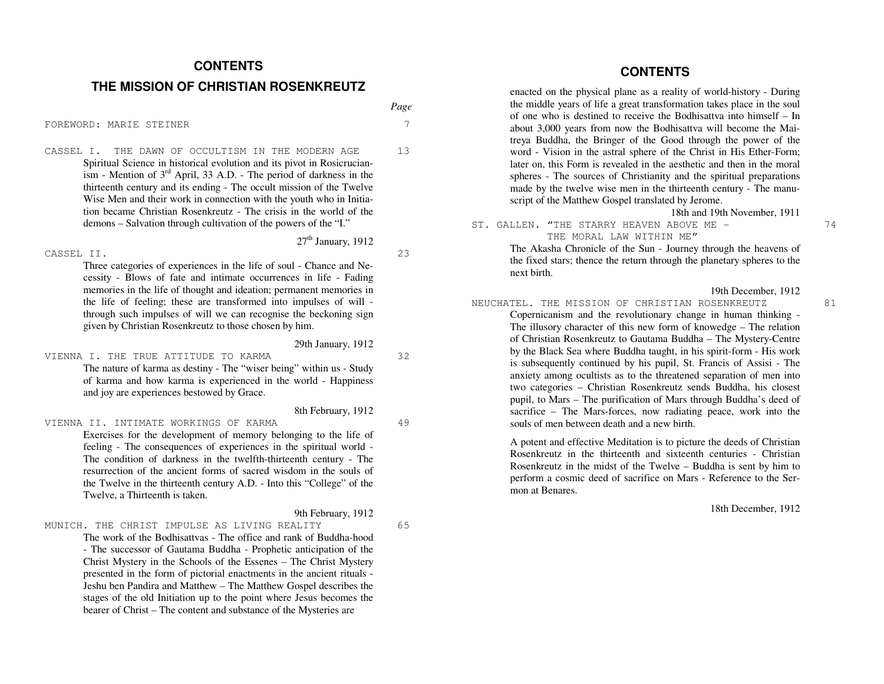#### **CONTENTS**

#### **THE MISSION OF CHRISTIAN ROSENKREUTZ**

FOREWORD: MARIE STEINER 7

CASSEL I. THE DAWN OF OCCULTISM IN THE MODERN AGE 13 Spiritual Science in historical evolution and its pivot in Rosicrucian- $\lim_{\text{isom}}$  - Mention of 3<sup>rd</sup> April, 33 A.D. - The period of darkness in the thirteenth century and its ending - The occult mission of the Twelve Wise Men and their work in connection with the youth who in Initiation became Christian Rosenkreutz - The crisis in the world of the demons – Salvation through cultivation of the powers of the "I."

#### CASSEL II. 23

Three categories of experiences in the life of soul - Chance and Necessity - Blows of fate and intimate occurrences in life - Fading memories in the life of thought and ideation; permanent memories in the life of feeling; these are transformed into impulses of will through such impulses of will we can recognise the beckoning sign given by Christian Rosenkreutz to those chosen by him.

29th January, 1912

8th February, 1912

 $27<sup>th</sup>$  January, 1912

VIENNA I. THE TRUE ATTITUDE TO KARMA 32 The nature of karma as destiny - The "wiser being" within us - Study of karma and how karma is experienced in the world - Happiness and joy are experiences bestowed by Grace.

#### VIENNA II. INTIMATE WORKINGS OF KARMA 49

Exercises for the development of memory belonging to the life of feeling - The consequences of experiences in the spiritual world - The condition of darkness in the twelfth-thirteenth century - The resurrection of the ancient forms of sacred wisdom in the souls of the Twelve in the thirteenth century A.D. - Into this "College" of the Twelve, a Thirteenth is taken.

9th February, 1912

MUNICH. THE CHRIST IMPULSE AS LIVING REALITY 65

The work of the Bodhisattvas - The office and rank of Buddha-hood - The successor of Gautama Buddha - Prophetic anticipation of the Christ Mystery in the Schools of the Essenes – The Christ Mystery presented in the form of pictorial enactments in the ancient rituals - Jeshu ben Pandira and Matthew – The Matthew Gospel describes the stages of the old Initiation up to the point where Jesus becomes the bearer of Christ – The content and substance of the Mysteries are

**CONTENTS** 

enacted on the physical plane as a reality of world-history - During the middle years of life a great transformation takes place in the soul of one who is destined to receive the Bodhisattva into himself – In about 3,000 years from now the Bodhisattva will become the Maitreya Buddha, the Bringer of the Good through the power of the word - Vision in the astral sphere of the Christ in His Ether-Form; later on, this Form is revealed in the aesthetic and then in the moral spheres - The sources of Christianity and the spiritual preparations made by the twelve wise men in the thirteenth century - The manuscript of the Matthew Gospel translated by Jerome.

#### 18th and 19th November, 1911

ST. GALLEN. "THE STARRY HEAVEN ABOVE ME - 74 THE MORAL LAW WITHIN ME"

 The Akasha Chronicle of the Sun - Journey through the heavens of the fixed stars; thence the return through the planetary spheres to the next birth.

19th December, 1912

NEUCHATEL. THE MISSION OF CHRISTIAN ROSENKREUTZ 81 Copernicanism and the revolutionary change in human thinking - The illusory character of this new form of knowedge – The relation of Christian Rosenkreutz to Gautama Buddha – The Mystery-Centre by the Black Sea where Buddha taught, in his spirit-form - His work is subsequently continued by his pupil, St. Francis of Assisi - The anxiety among ocultists as to the threatened separation of men into two categories – Christian Rosenkreutz sends Buddha, his closest pupil, to Mars – The purification of Mars through Buddha's deed of sacrifice – The Mars-forces, now radiating peace, work into the souls of men between death and a new birth.

> A potent and effective Meditation is to picture the deeds of Christian Rosenkreutz in the thirteenth and sixteenth centuries - Christian Rosenkreutz in the midst of the Twelve – Buddha is sent by him to perform a cosmic deed of sacrifice on Mars - Reference to the Sermon at Benares.

> > 18th December, 1912

*Page*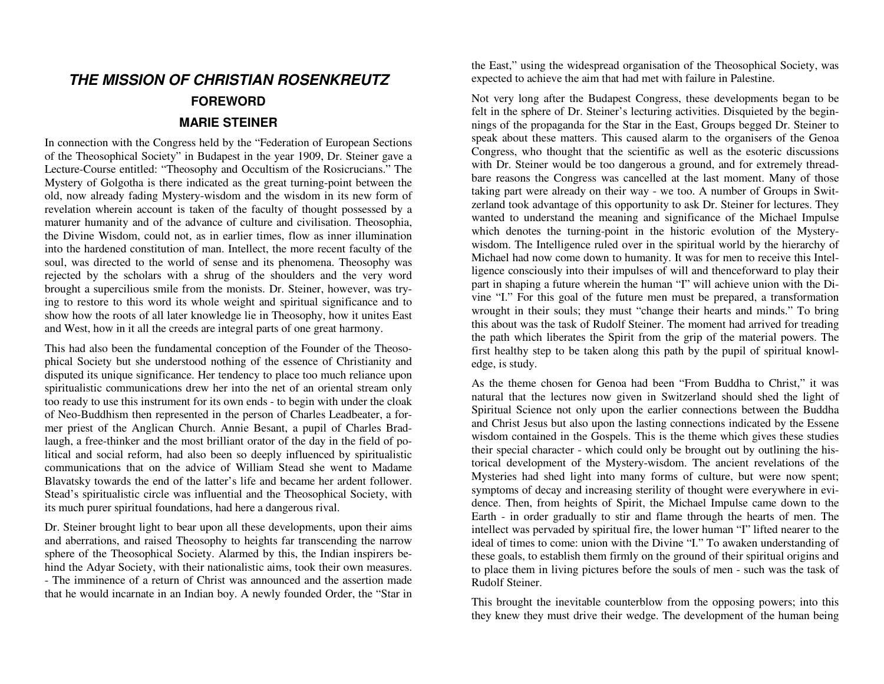# **THE MISSION OF CHRISTIAN ROSENKREUTZ FOREWORD MARIE STEINER**

In connection with the Congress held by the "Federation of European Sections of the Theosophical Society" in Budapest in the year 1909, Dr. Steiner gave a Lecture-Course entitled: "Theosophy and Occultism of the Rosicrucians." The Mystery of Golgotha is there indicated as the great turning-point between the old, now already fading Mystery-wisdom and the wisdom in its new form of revelation wherein account is taken of the faculty of thought possessed by a maturer humanity and of the advance of culture and civilisation. Theosophia, the Divine Wisdom, could not, as in earlier times, flow as inner illumination into the hardened constitution of man. Intellect, the more recent faculty of the soul, was directed to the world of sense and its phenomena. Theosophy was rejected by the scholars with a shrug of the shoulders and the very word brought a supercilious smile from the monists. Dr. Steiner, however, was trying to restore to this word its whole weight and spiritual significance and to show how the roots of all later knowledge lie in Theosophy, how it unites East and West, how in it all the creeds are integral parts of one great harmony.

This had also been the fundamental conception of the Founder of the Theosophical Society but she understood nothing of the essence of Christianity and disputed its unique significance. Her tendency to place too much reliance upon spiritualistic communications drew her into the net of an oriental stream only too ready to use this instrument for its own ends - to begin with under the cloak of Neo-Buddhism then represented in the person of Charles Leadbeater, a former priest of the Anglican Church. Annie Besant, a pupil of Charles Bradlaugh, a free-thinker and the most brilliant orator of the day in the field of political and social reform, had also been so deeply influenced by spiritualistic communications that on the advice of William Stead she went to Madame Blavatsky towards the end of the latter's life and became her ardent follower. Stead's spiritualistic circle was influential and the Theosophical Society, with its much purer spiritual foundations, had here a dangerous rival.

Dr. Steiner brought light to bear upon all these developments, upon their aims and aberrations, and raised Theosophy to heights far transcending the narrow sphere of the Theosophical Society. Alarmed by this, the Indian inspirers behind the Adyar Society, with their nationalistic aims, took their own measures. - The imminence of a return of Christ was announced and the assertion made that he would incarnate in an Indian boy. A newly founded Order, the "Star in the East," using the widespread organisation of the Theosophical Society, was expected to achieve the aim that had met with failure in Palestine.

Not very long after the Budapest Congress, these developments began to be felt in the sphere of Dr. Steiner's lecturing activities. Disquieted by the beginnings of the propaganda for the Star in the East, Groups begged Dr. Steiner to speak about these matters. This caused alarm to the organisers of the Genoa Congress, who thought that the scientific as well as the esoteric discussions with Dr. Steiner would be too dangerous a ground, and for extremely threadbare reasons the Congress was cancelled at the last moment. Many of those taking part were already on their way - we too. A number of Groups in Switzerland took advantage of this opportunity to ask Dr. Steiner for lectures. They wanted to understand the meaning and significance of the Michael Impulse which denotes the turning-point in the historic evolution of the Mysterywisdom. The Intelligence ruled over in the spiritual world by the hierarchy of Michael had now come down to humanity. It was for men to receive this Intelligence consciously into their impulses of will and thenceforward to play their part in shaping a future wherein the human "I" will achieve union with the Divine "I." For this goal of the future men must be prepared, a transformation wrought in their souls; they must "change their hearts and minds." To bring this about was the task of Rudolf Steiner. The moment had arrived for treading the path which liberates the Spirit from the grip of the material powers. The first healthy step to be taken along this path by the pupil of spiritual knowledge, is study.

As the theme chosen for Genoa had been "From Buddha to Christ," it was natural that the lectures now given in Switzerland should shed the light of Spiritual Science not only upon the earlier connections between the Buddha and Christ Jesus but also upon the lasting connections indicated by the Essene wisdom contained in the Gospels. This is the theme which gives these studies their special character - which could only be brought out by outlining the historical development of the Mystery-wisdom. The ancient revelations of the Mysteries had shed light into many forms of culture, but were now spent; symptoms of decay and increasing sterility of thought were everywhere in evidence. Then, from heights of Spirit, the Michael Impulse came down to the Earth - in order gradually to stir and flame through the hearts of men. The intellect was pervaded by spiritual fire, the lower human "I" lifted nearer to the ideal of times to come: union with the Divine "I." To awaken understanding of these goals, to establish them firmly on the ground of their spiritual origins and to place them in living pictures before the souls of men - such was the task of Rudolf Steiner.

This brought the inevitable counterblow from the opposing powers; into this they knew they must drive their wedge. The development of the human being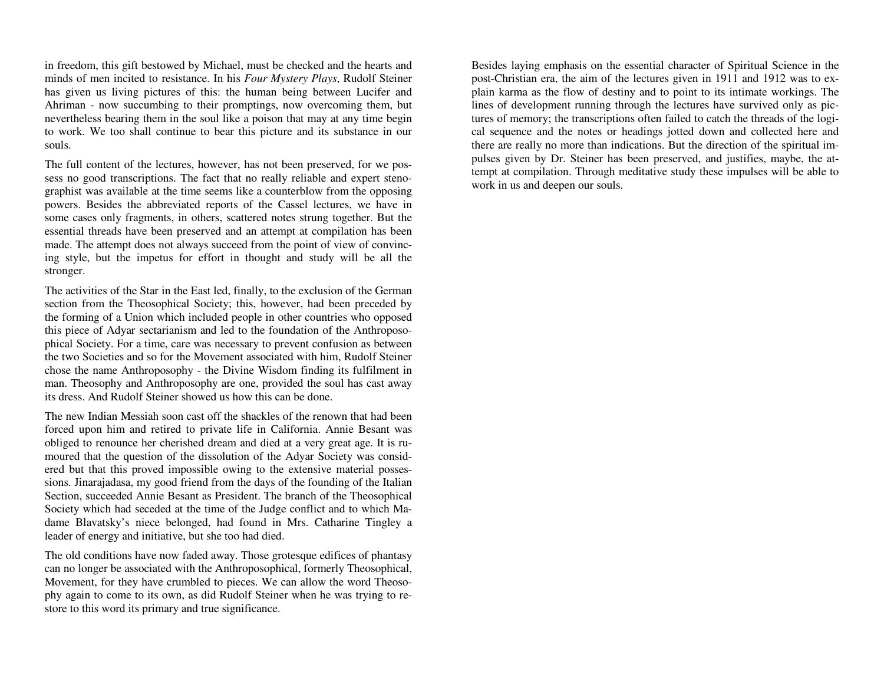in freedom, this gift bestowed by Michael, must be checked and the hearts and minds of men incited to resistance. In his *Four Mystery Plays*, Rudolf Steiner has given us living pictures of this: the human being between Lucifer and Ahriman - now succumbing to their promptings, now overcoming them, but nevertheless bearing them in the soul like a poison that may at any time begin to work. We too shall continue to bear this picture and its substance in our souls.

The full content of the lectures, however, has not been preserved, for we possess no good transcriptions. The fact that no really reliable and expert stenographist was available at the time seems like a counterblow from the opposing powers. Besides the abbreviated reports of the Cassel lectures, we have in some cases only fragments, in others, scattered notes strung together. But the essential threads have been preserved and an attempt at compilation has been made. The attempt does not always succeed from the point of view of convincing style, but the impetus for effort in thought and study will be all the stronger.

The activities of the Star in the East led, finally, to the exclusion of the German section from the Theosophical Society; this, however, had been preceded by the forming of a Union which included people in other countries who opposed this piece of Adyar sectarianism and led to the foundation of the Anthroposophical Society. For a time, care was necessary to prevent confusion as between the two Societies and so for the Movement associated with him, Rudolf Steiner chose the name Anthroposophy - the Divine Wisdom finding its fulfilment in man. Theosophy and Anthroposophy are one, provided the soul has cast away its dress. And Rudolf Steiner showed us how this can be done.

The new Indian Messiah soon cast off the shackles of the renown that had been forced upon him and retired to private life in California. Annie Besant was obliged to renounce her cherished dream and died at a very great age. It is rumoured that the question of the dissolution of the Adyar Society was considered but that this proved impossible owing to the extensive material possessions. Jinarajadasa, my good friend from the days of the founding of the Italian Section, succeeded Annie Besant as President. The branch of the Theosophical Society which had seceded at the time of the Judge conflict and to which Madame Blavatsky's niece belonged, had found in Mrs. Catharine Tingley a leader of energy and initiative, but she too had died.

The old conditions have now faded away. Those grotesque edifices of phantasy can no longer be associated with the Anthroposophical, formerly Theosophical, Movement, for they have crumbled to pieces. We can allow the word Theosophy again to come to its own, as did Rudolf Steiner when he was trying to restore to this word its primary and true significance.

Besides laying emphasis on the essential character of Spiritual Science in the post-Christian era, the aim of the lectures given in 1911 and 1912 was to explain karma as the flow of destiny and to point to its intimate workings. The lines of development running through the lectures have survived only as pictures of memory; the transcriptions often failed to catch the threads of the logical sequence and the notes or headings jotted down and collected here and there are really no more than indications. But the direction of the spiritual impulses given by Dr. Steiner has been preserved, and justifies, maybe, the attempt at compilation. Through meditative study these impulses will be able to work in us and deepen our souls.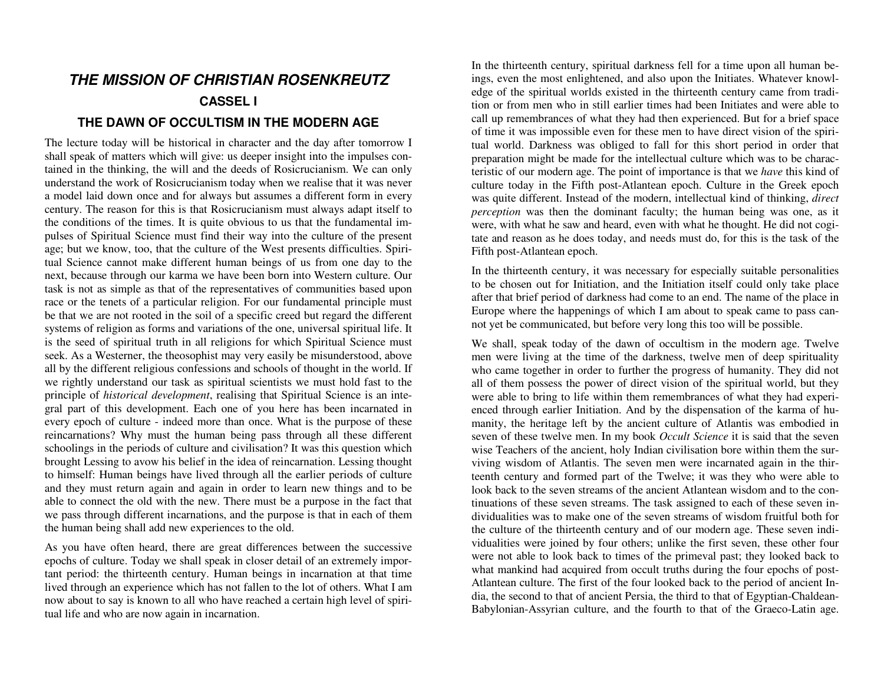# **THE MISSION OF CHRISTIAN ROSENKREUTZ**

### **CASSEL I**

## **THE DAWN OF OCCULTISM IN THE MODERN AGE**

The lecture today will be historical in character and the day after tomorrow I shall speak of matters which will give: us deeper insight into the impulses contained in the thinking, the will and the deeds of Rosicrucianism. We can only understand the work of Rosicrucianism today when we realise that it was never a model laid down once and for always but assumes a different form in every century. The reason for this is that Rosicrucianism must always adapt itself to the conditions of the times. It is quite obvious to us that the fundamental impulses of Spiritual Science must find their way into the culture of the present age; but we know, too, that the culture of the West presents difficulties. Spiritual Science cannot make different human beings of us from one day to the next, because through our karma we have been born into Western culture. Our task is not as simple as that of the representatives of communities based upon race or the tenets of a particular religion. For our fundamental principle must be that we are not rooted in the soil of a specific creed but regard the different systems of religion as forms and variations of the one, universal spiritual life. It is the seed of spiritual truth in all religions for which Spiritual Science must seek. As a Westerner, the theosophist may very easily be misunderstood, above all by the different religious confessions and schools of thought in the world. If we rightly understand our task as spiritual scientists we must hold fast to the principle of *historical development*, realising that Spiritual Science is an integral part of this development. Each one of you here has been incarnated in every epoch of culture - indeed more than once. What is the purpose of these reincarnations? Why must the human being pass through all these different schoolings in the periods of culture and civilisation? It was this question which brought Lessing to avow his belief in the idea of reincarnation. Lessing thought to himself: Human beings have lived through all the earlier periods of culture and they must return again and again in order to learn new things and to be able to connect the old with the new. There must be a purpose in the fact that we pass through different incarnations, and the purpose is that in each of them the human being shall add new experiences to the old.

As you have often heard, there are great differences between the successive epochs of culture. Today we shall speak in closer detail of an extremely important period: the thirteenth century. Human beings in incarnation at that time lived through an experience which has not fallen to the lot of others. What I am now about to say is known to all who have reached a certain high level of spiritual life and who are now again in incarnation.

In the thirteenth century, spiritual darkness fell for a time upon all human beings, even the most enlightened, and also upon the Initiates. Whatever knowledge of the spiritual worlds existed in the thirteenth century came from tradition or from men who in still earlier times had been Initiates and were able to call up remembrances of what they had then experienced. But for a brief space of time it was impossible even for these men to have direct vision of the spiritual world. Darkness was obliged to fall for this short period in order that preparation might be made for the intellectual culture which was to be characteristic of our modern age. The point of importance is that we *have* this kind of culture today in the Fifth post-Atlantean epoch. Culture in the Greek epoch was quite different. Instead of the modern, intellectual kind of thinking, *direct perception* was then the dominant faculty; the human being was one, as it were, with what he saw and heard, even with what he thought. He did not cogitate and reason as he does today, and needs must do, for this is the task of the Fifth post-Atlantean epoch.

In the thirteenth century, it was necessary for especially suitable personalities to be chosen out for Initiation, and the Initiation itself could only take place after that brief period of darkness had come to an end. The name of the place in Europe where the happenings of which I am about to speak came to pass cannot yet be communicated, but before very long this too will be possible.

We shall, speak today of the dawn of occultism in the modern age. Twelve men were living at the time of the darkness, twelve men of deep spirituality who came together in order to further the progress of humanity. They did not all of them possess the power of direct vision of the spiritual world, but they were able to bring to life within them remembrances of what they had experienced through earlier Initiation. And by the dispensation of the karma of humanity, the heritage left by the ancient culture of Atlantis was embodied in seven of these twelve men. In my book *Occult Science* it is said that the seven wise Teachers of the ancient, holy Indian civilisation bore within them the surviving wisdom of Atlantis. The seven men were incarnated again in the thirteenth century and formed part of the Twelve; it was they who were able to look back to the seven streams of the ancient Atlantean wisdom and to the continuations of these seven streams. The task assigned to each of these seven individualities was to make one of the seven streams of wisdom fruitful both for the culture of the thirteenth century and of our modern age. These seven individualities were joined by four others; unlike the first seven, these other four were not able to look back to times of the primeval past; they looked back to what mankind had acquired from occult truths during the four epochs of post-Atlantean culture. The first of the four looked back to the period of ancient India, the second to that of ancient Persia, the third to that of Egyptian-Chaldean-Babylonian-Assyrian culture, and the fourth to that of the Graeco-Latin age.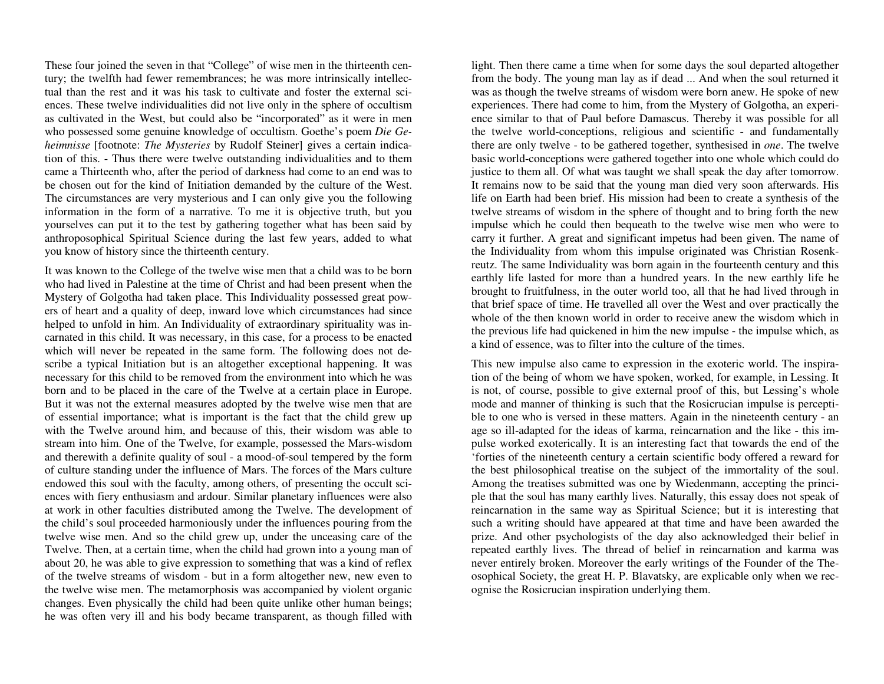These four joined the seven in that "College" of wise men in the thirteenth century; the twelfth had fewer remembrances; he was more intrinsically intellectual than the rest and it was his task to cultivate and foster the external sciences. These twelve individualities did not live only in the sphere of occultism as cultivated in the West, but could also be "incorporated" as it were in men who possessed some genuine knowledge of occultism. Goethe's poem *Die Geheimnisse* [footnote: *The Mysteries* by Rudolf Steiner] gives a certain indication of this. - Thus there were twelve outstanding individualities and to them came a Thirteenth who, after the period of darkness had come to an end was to be chosen out for the kind of Initiation demanded by the culture of the West. The circumstances are very mysterious and I can only give you the following information in the form of a narrative. To me it is objective truth, but you yourselves can put it to the test by gathering together what has been said by anthroposophical Spiritual Science during the last few years, added to what you know of history since the thirteenth century.

It was known to the College of the twelve wise men that a child was to be born who had lived in Palestine at the time of Christ and had been present when the Mystery of Golgotha had taken place. This Individuality possessed great powers of heart and a quality of deep, inward love which circumstances had since helped to unfold in him. An Individuality of extraordinary spirituality was incarnated in this child. It was necessary, in this case, for a process to be enacted which will never be repeated in the same form. The following does not describe a typical Initiation but is an altogether exceptional happening. It was necessary for this child to be removed from the environment into which he was born and to be placed in the care of the Twelve at a certain place in Europe. But it was not the external measures adopted by the twelve wise men that are of essential importance; what is important is the fact that the child grew up with the Twelve around him, and because of this, their wisdom was able to stream into him. One of the Twelve, for example, possessed the Mars-wisdom and therewith a definite quality of soul - a mood-of-soul tempered by the form of culture standing under the influence of Mars. The forces of the Mars culture endowed this soul with the faculty, among others, of presenting the occult sciences with fiery enthusiasm and ardour. Similar planetary influences were also at work in other faculties distributed among the Twelve. The development of the child's soul proceeded harmoniously under the influences pouring from the twelve wise men. And so the child grew up, under the unceasing care of the Twelve. Then, at a certain time, when the child had grown into a young man of about 20, he was able to give expression to something that was a kind of reflex of the twelve streams of wisdom - but in a form altogether new, new even to the twelve wise men. The metamorphosis was accompanied by violent organic changes. Even physically the child had been quite unlike other human beings; he was often very ill and his body became transparent, as though filled with

light. Then there came a time when for some days the soul departed altogether from the body. The young man lay as if dead ... And when the soul returned it was as though the twelve streams of wisdom were born anew. He spoke of new experiences. There had come to him, from the Mystery of Golgotha, an experience similar to that of Paul before Damascus. Thereby it was possible for all the twelve world-conceptions, religious and scientific - and fundamentally there are only twelve - to be gathered together, synthesised in *one*. The twelve basic world-conceptions were gathered together into one whole which could do justice to them all. Of what was taught we shall speak the day after tomorrow. It remains now to be said that the young man died very soon afterwards. His life on Earth had been brief. His mission had been to create a synthesis of the twelve streams of wisdom in the sphere of thought and to bring forth the new impulse which he could then bequeath to the twelve wise men who were to carry it further. A great and significant impetus had been given. The name of the Individuality from whom this impulse originated was Christian Rosenkreutz. The same Individuality was born again in the fourteenth century and this earthly life lasted for more than a hundred years. In the new earthly life he brought to fruitfulness, in the outer world too, all that he had lived through in that brief space of time. He travelled all over the West and over practically the whole of the then known world in order to receive anew the wisdom which in the previous life had quickened in him the new impulse - the impulse which, as a kind of essence, was to filter into the culture of the times.

This new impulse also came to expression in the exoteric world. The inspiration of the being of whom we have spoken, worked, for example, in Lessing. It is not, of course, possible to give external proof of this, but Lessing's whole mode and manner of thinking is such that the Rosicrucian impulse is perceptible to one who is versed in these matters. Again in the nineteenth century - an age so ill-adapted for the ideas of karma, reincarnation and the like - this impulse worked exoterically. It is an interesting fact that towards the end of the 'forties of the nineteenth century a certain scientific body offered a reward for the best philosophical treatise on the subject of the immortality of the soul. Among the treatises submitted was one by Wiedenmann, accepting the principle that the soul has many earthly lives. Naturally, this essay does not speak of reincarnation in the same way as Spiritual Science; but it is interesting that such a writing should have appeared at that time and have been awarded the prize. And other psychologists of the day also acknowledged their belief in repeated earthly lives. The thread of belief in reincarnation and karma was never entirely broken. Moreover the early writings of the Founder of the Theosophical Society, the great H. P. Blavatsky, are explicable only when we recognise the Rosicrucian inspiration underlying them.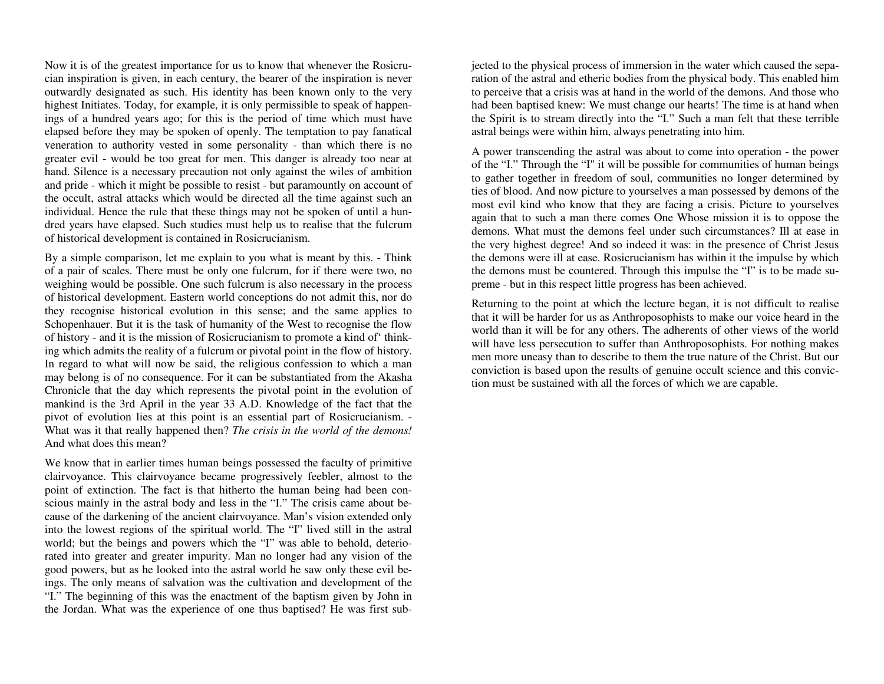Now it is of the greatest importance for us to know that whenever the Rosicrucian inspiration is given, in each century, the bearer of the inspiration is never outwardly designated as such. His identity has been known only to the very highest Initiates. Today, for example, it is only permissible to speak of happenings of a hundred years ago; for this is the period of time which must have elapsed before they may be spoken of openly. The temptation to pay fanatical veneration to authority vested in some personality - than which there is no greater evil - would be too great for men. This danger is already too near at hand. Silence is a necessary precaution not only against the wiles of ambition and pride - which it might be possible to resist - but paramountly on account of the occult, astral attacks which would be directed all the time against such an individual. Hence the rule that these things may not be spoken of until a hundred years have elapsed. Such studies must help us to realise that the fulcrum of historical development is contained in Rosicrucianism.

By a simple comparison, let me explain to you what is meant by this. - Think of a pair of scales. There must be only one fulcrum, for if there were two, no weighing would be possible. One such fulcrum is also necessary in the process of historical development. Eastern world conceptions do not admit this, nor do they recognise historical evolution in this sense; and the same applies to Schopenhauer. But it is the task of humanity of the West to recognise the flow of history - and it is the mission of Rosicrucianism to promote a kind of' thinking which admits the reality of a fulcrum or pivotal point in the flow of history. In regard to what will now be said, the religious confession to which a man may belong is of no consequence. For it can be substantiated from the Akasha Chronicle that the day which represents the pivotal point in the evolution of mankind is the 3rd April in the year 33 A.D. Knowledge of the fact that the pivot of evolution lies at this point is an essential part of Rosicrucianism. - What was it that really happened then? *The crisis in the world of the demons!*And what does this mean?

We know that in earlier times human beings possessed the faculty of primitive clairvoyance. This clairvoyance became progressively feebler, almost to the point of extinction. The fact is that hitherto the human being had been conscious mainly in the astral body and less in the "I." The crisis came about because of the darkening of the ancient clairvoyance. Man's vision extended only into the lowest regions of the spiritual world. The "I" lived still in the astral world; but the beings and powers which the "I" was able to behold, deteriorated into greater and greater impurity. Man no longer had any vision of the good powers, but as he looked into the astral world he saw only these evil beings. The only means of salvation was the cultivation and development of the "I." The beginning of this was the enactment of the baptism given by John in the Jordan. What was the experience of one thus baptised? He was first subjected to the physical process of immersion in the water which caused the separation of the astral and etheric bodies from the physical body. This enabled him

ration of the astral and etheric bodies from the physical body. This enabled him<br>to perceive that a crisis was at hand in the world of the demons. And those who<br>had been baptised knew: We must change our hearts! The time i

preme - but in this respect little progress has been achieved.<br>Returning to the point at which the lecture began, it is not difficult to realise<br>that it will be harder for us as Anthroposophists to make our voice heard in tion must be sustained with all the forces of which we are capable.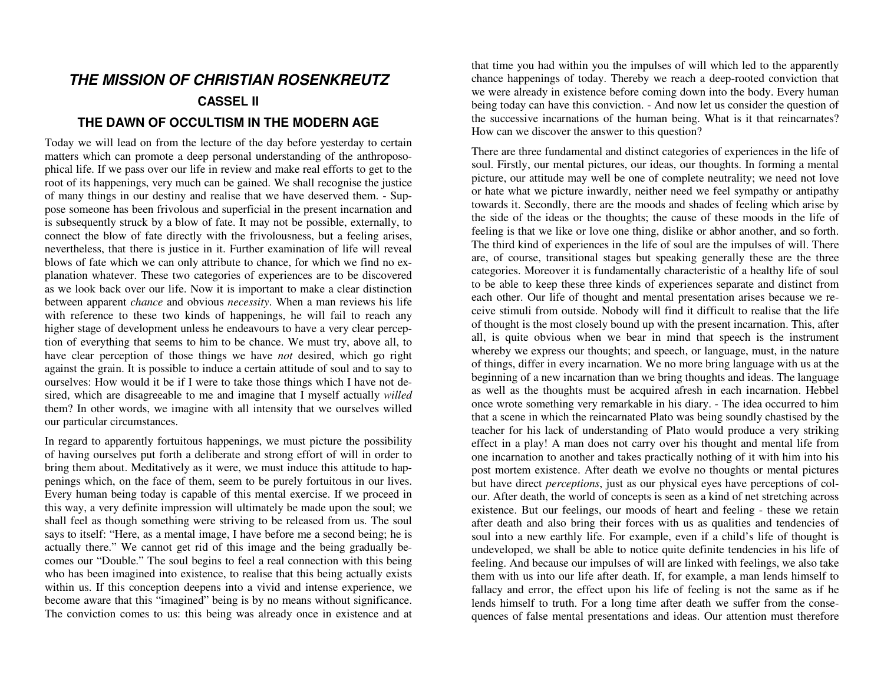# **THE MISSION OF CHRISTIAN ROSENKREUTZ CASSEL II**

### **THE DAWN OF OCCULTISM IN THE MODERN AGE**

Today we will lead on from the lecture of the day before yesterday to certain matters which can promote a deep personal understanding of the anthroposophical life. If we pass over our life in review and make real efforts to get to the root of its happenings, very much can be gained. We shall recognise the justice of many things in our destiny and realise that we have deserved them. - Suppose someone has been frivolous and superficial in the present incarnation and is subsequently struck by a blow of fate. It may not be possible, externally, to connect the blow of fate directly with the frivolousness, but a feeling arises, nevertheless, that there is justice in it. Further examination of life will reveal blows of fate which we can only attribute to chance, for which we find no explanation whatever. These two categories of experiences are to be discovered as we look back over our life. Now it is important to make a clear distinction between apparent *chance* and obvious *necessity*. When a man reviews his life with reference to these two kinds of happenings, he will fail to reach any higher stage of development unless he endeavours to have a very clear perception of everything that seems to him to be chance. We must try, above all, to have clear perception of those things we have *not* desired, which go right against the grain. It is possible to induce a certain attitude of soul and to say to ourselves: How would it be if I were to take those things which I have not desired, which are disagreeable to me and imagine that I myself actually *willed* them? In other words, we imagine with all intensity that we ourselves willed our particular circumstances.

In regard to apparently fortuitous happenings, we must picture the possibility of having ourselves put forth a deliberate and strong effort of will in order to bring them about. Meditatively as it were, we must induce this attitude to happenings which, on the face of them, seem to be purely fortuitous in our lives. Every human being today is capable of this mental exercise. If we proceed in this way, a very definite impression will ultimately be made upon the soul; we shall feel as though something were striving to be released from us. The soul says to itself: "Here, as a mental image, I have before me a second being; he is actually there." We cannot get rid of this image and the being gradually becomes our "Double." The soul begins to feel a real connection with this being who has been imagined into existence, to realise that this being actually exists within us. If this conception deepens into a vivid and intense experience, we become aware that this "imagined" being is by no means without significance. The conviction comes to us: this being was already once in existence and at that time you had within you the impulses of will which led to the apparently chance happenings of today. Thereby we reach a deep-rooted conviction that we were already in existence before coming down into the body. Every human being today can have this conviction. - And now let us consider the question of the successive incarnations of the human being. What is it that reincarnates? How can we discover the answer to this question?

There are three fundamental and distinct categories of experiences in the life of soul. Firstly, our mental pictures, our ideas, our thoughts. In forming a mental picture, our attitude may well be one of complete neutrality; we need not love or hate what we picture inwardly, neither need we feel sympathy or antipathy towards it. Secondly, there are the moods and shades of feeling which arise by the side of the ideas or the thoughts; the cause of these moods in the life of feeling is that we like or love one thing, dislike or abhor another, and so forth. The third kind of experiences in the life of soul are the impulses of will. There are, of course, transitional stages but speaking generally these are the three categories. Moreover it is fundamentally characteristic of a healthy life of soul to be able to keep these three kinds of experiences separate and distinct from each other. Our life of thought and mental presentation arises because we receive stimuli from outside. Nobody will find it difficult to realise that the life of thought is the most closely bound up with the present incarnation. This, after all, is quite obvious when we bear in mind that speech is the instrument whereby we express our thoughts; and speech, or language, must, in the nature of things, differ in every incarnation. We no more bring language with us at the beginning of a new incarnation than we bring thoughts and ideas. The language as well as the thoughts must be acquired afresh in each incarnation. Hebbel once wrote something very remarkable in his diary. - The idea occurred to him that a scene in which the reincarnated Plato was being soundly chastised by the teacher for his lack of understanding of Plato would produce a very striking effect in a play! A man does not carry over his thought and mental life from one incarnation to another and takes practically nothing of it with him into his post mortem existence. After death we evolve no thoughts or mental pictures but have direct *perceptions*, just as our physical eyes have perceptions of col our. After death, the world of concepts is seen as a kind of net stretching across existence. But our feelings, our moods of heart and feeling - these we retain after death and also bring their forces with us as qualities and tendencies of soul into a new earthly life. For example, even if a child's life of thought is undeveloped, we shall be able to notice quite definite tendencies in his life of feeling. And because our impulses of will are linked with feelings, we also take them with us into our life after death. If, for example, a man lends himself to fallacy and error, the effect upon his life of feeling is not the same as if he lends himself to truth. For a long time after death we suffer from the consequences of false mental presentations and ideas. Our attention must therefore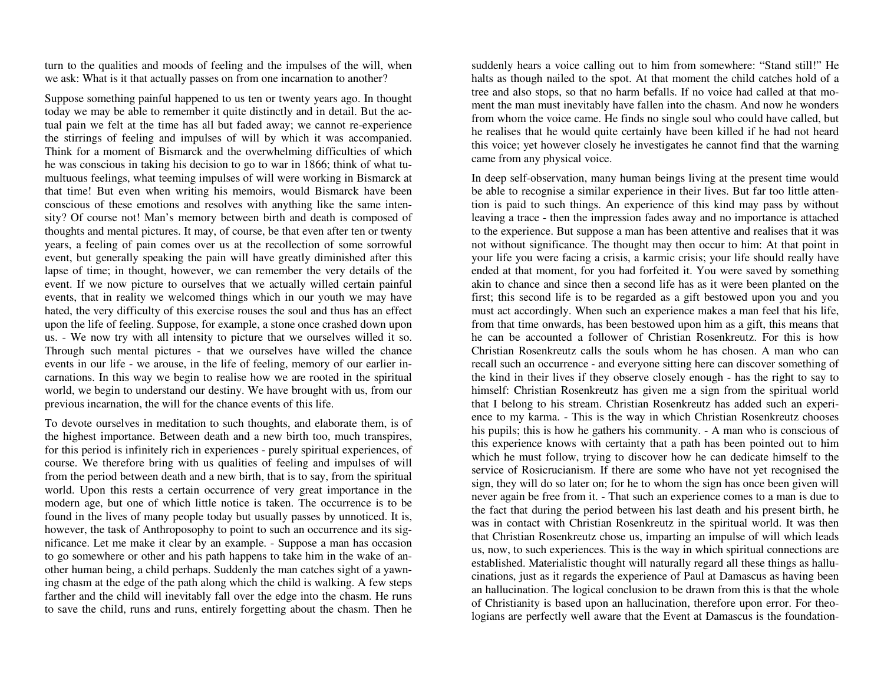turn to the qualities and moods of feeling and the impulses of the will, when we ask: What is it that actually passes on from one incarnation to another?

Suppose something painful happened to us ten or twenty years ago. In thought today we may be able to remember it quite distinctly and in detail. But the actual pain we felt at the time has all but faded away; we cannot re-experience the stirrings of feeling and impulses of will by which it was accompanied. Think for a moment of Bismarck and the overwhelming difficulties of which he was conscious in taking his decision to go to war in 1866; think of what tumultuous feelings, what teeming impulses of will were working in Bismarck at that time! But even when writing his memoirs, would Bismarck have been conscious of these emotions and resolves with anything like the same intensity? Of course not! Man's memory between birth and death is composed of thoughts and mental pictures. It may, of course, be that even after ten or twenty years, a feeling of pain comes over us at the recollection of some sorrowful event, but generally speaking the pain will have greatly diminished after this lapse of time; in thought, however, we can remember the very details of the event. If we now picture to ourselves that we actually willed certain painful events, that in reality we welcomed things which in our youth we may have hated, the very difficulty of this exercise rouses the soul and thus has an effect upon the life of feeling. Suppose, for example, a stone once crashed down upon us. - We now try with all intensity to picture that we ourselves willed it so. Through such mental pictures - that we ourselves have willed the chance events in our life - we arouse, in the life of feeling, memory of our earlier incarnations. In this way we begin to realise how we are rooted in the spiritual world, we begin to understand our destiny. We have brought with us, from our previous incarnation, the will for the chance events of this life.

To devote ourselves in meditation to such thoughts, and elaborate them, is of the highest importance. Between death and a new birth too, much transpires, for this period is infinitely rich in experiences - purely spiritual experiences, of course. We therefore bring with us qualities of feeling and impulses of will from the period between death and a new birth, that is to say, from the spiritual world. Upon this rests a certain occurrence of very great importance in the modern age, but one of which little notice is taken. The occurrence is to be found in the lives of many people today but usually passes by unnoticed. It is, however, the task of Anthroposophy to point to such an occurrence and its significance. Let me make it clear by an example. - Suppose a man has occasion to go somewhere or other and his path happens to take him in the wake of another human being, a child perhaps. Suddenly the man catches sight of a yawning chasm at the edge of the path along which the child is walking. A few steps farther and the child will inevitably fall over the edge into the chasm. He runs to save the child, runs and runs, entirely forgetting about the chasm. Then he

suddenly hears a voice calling out to him from somewhere: "Stand still!" He halts as though nailed to the spot. At that moment the child catches hold of a tree and also stops, so that no harm befalls. If no voice had called at that moment the man must inevitably have fallen into the chasm. And now he wonders from whom the voice came. He finds no single soul who could have called, but he realises that he would quite certainly have been killed if he had not heard this voice; yet however closely he investigates he cannot find that the warning came from any physical voice.

In deep self-observation, many human beings living at the present time would be able to recognise a similar experience in their lives. But far too little attention is paid to such things. An experience of this kind may pass by without leaving a trace - then the impression fades away and no importance is attached to the experience. But suppose a man has been attentive and realises that it was not without significance. The thought may then occur to him: At that point in your life you were facing a crisis, a karmic crisis; your life should really have ended at that moment, for you had forfeited it. You were saved by something akin to chance and since then a second life has as it were been planted on the first; this second life is to be regarded as a gift bestowed upon you and you must act accordingly. When such an experience makes a man feel that his life, from that time onwards, has been bestowed upon him as a gift, this means that he can be accounted a follower of Christian Rosenkreutz. For this is how Christian Rosenkreutz calls the souls whom he has chosen. A man who can recall such an occurrence - and everyone sitting here can discover something of the kind in their lives if they observe closely enough - has the right to say to himself: Christian Rosenkreutz has given me a sign from the spiritual world that I belong to his stream. Christian Rosenkreutz has added such an experience to my karma. - This is the way in which Christian Rosenkreutz chooses his pupils; this is how he gathers his community. - A man who is conscious of this experience knows with certainty that a path has been pointed out to him which he must follow, trying to discover how he can dedicate himself to the service of Rosicrucianism. If there are some who have not yet recognised the sign, they will do so later on; for he to whom the sign has once been given will never again be free from it. - That such an experience comes to a man is due to the fact that during the period between his last death and his present birth, he was in contact with Christian Rosenkreutz in the spiritual world. It was then that Christian Rosenkreutz chose us, imparting an impulse of will which leads us, now, to such experiences. This is the way in which spiritual connections are established. Materialistic thought will naturally regard all these things as hallucinations, just as it regards the experience of Paul at Damascus as having been an hallucination. The logical conclusion to be drawn from this is that the whole of Christianity is based upon an hallucination, therefore upon error. For theologians are perfectly well aware that the Event at Damascus is the foundation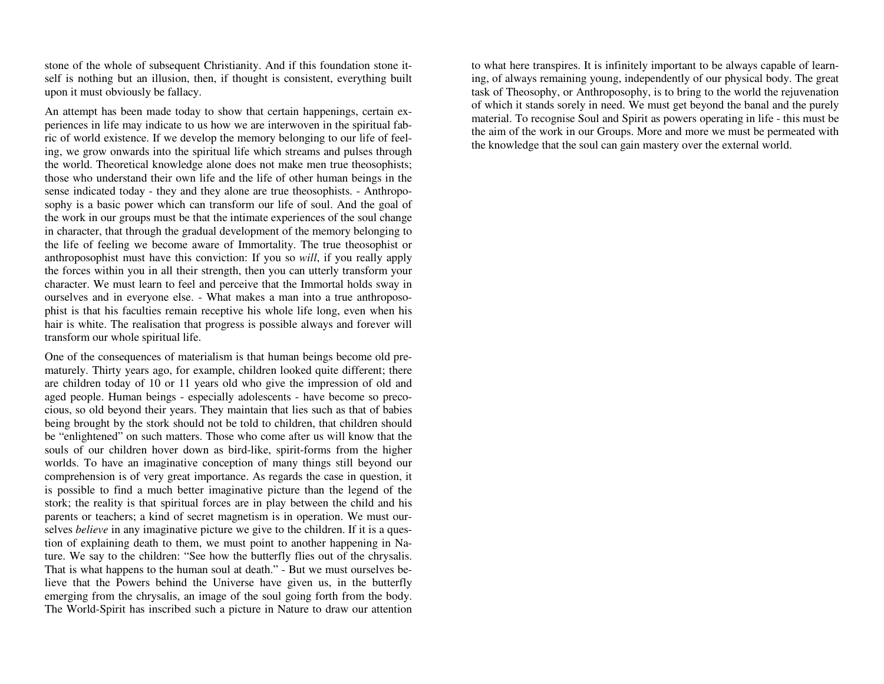stone of the whole of subsequent Christianity. And if this foundation stone itself is nothing but an illusion, then, if thought is consistent, everything built upon it must obviously be fallacy.

An attempt has been made today to show that certain happenings, certain experiences in life may indicate to us how we are interwoven in the spiritual fabric of world existence. If we develop the memory belonging to our life of feeling, we grow onwards into the spiritual life which streams and pulses through the world. Theoretical knowledge alone does not make men true theosophists; those who understand their own life and the life of other human beings in the sense indicated today - they and they alone are true theosophists. - Anthroposophy is a basic power which can transform our life of soul. And the goal of the work in our groups must be that the intimate experiences of the soul change in character, that through the gradual development of the memory belonging to the life of feeling we become aware of Immortality. The true theosophist or anthroposophist must have this conviction: If you so *will*, if you really apply the forces within you in all their strength, then you can utterly transform your character. We must learn to feel and perceive that the Immortal holds sway in ourselves and in everyone else. - What makes a man into a true anthroposophist is that his faculties remain receptive his whole life long, even when his hair is white. The realisation that progress is possible always and forever will transform our whole spiritual life.

One of the consequences of materialism is that human beings become old prematurely. Thirty years ago, for example, children looked quite different; there are children today of 10 or 11 years old who give the impression of old and aged people. Human beings - especially adolescents - have become so precocious, so old beyond their years. They maintain that lies such as that of babies being brought by the stork should not be told to children, that children should be "enlightened" on such matters. Those who come after us will know that the souls of our children hover down as bird-like, spirit-forms from the higher worlds. To have an imaginative conception of many things still beyond our comprehension is of very great importance. As regards the case in question, it is possible to find a much better imaginative picture than the legend of the stork; the reality is that spiritual forces are in play between the child and his parents or teachers; a kind of secret magnetism is in operation. We must ourselves *believe* in any imaginative picture we give to the children. If it is a question of explaining death to them, we must point to another happening in Nature. We say to the children: "See how the butterfly flies out of the chrysalis. That is what happens to the human soul at death." - But we must ourselves believe that the Powers behind the Universe have given us, in the butterfly emerging from the chrysalis, an image of the soul going forth from the body. The World-Spirit has inscribed such a picture in Nature to draw our attention

to what here transpires. It is infinitely important to be always capable of learning, of always remaining young, independently of our physical body. The great task of Theosophy, or Anthroposophy, is to bring to the world the rejuvenation of which it stands sorely in need. We must get beyond the banal and the purely material. To recognise Soul and Spirit as powers operating in life - this must be the aim of the work in our Groups. More and more we must be permeated with the knowledge that the soul can gain mastery over the external world.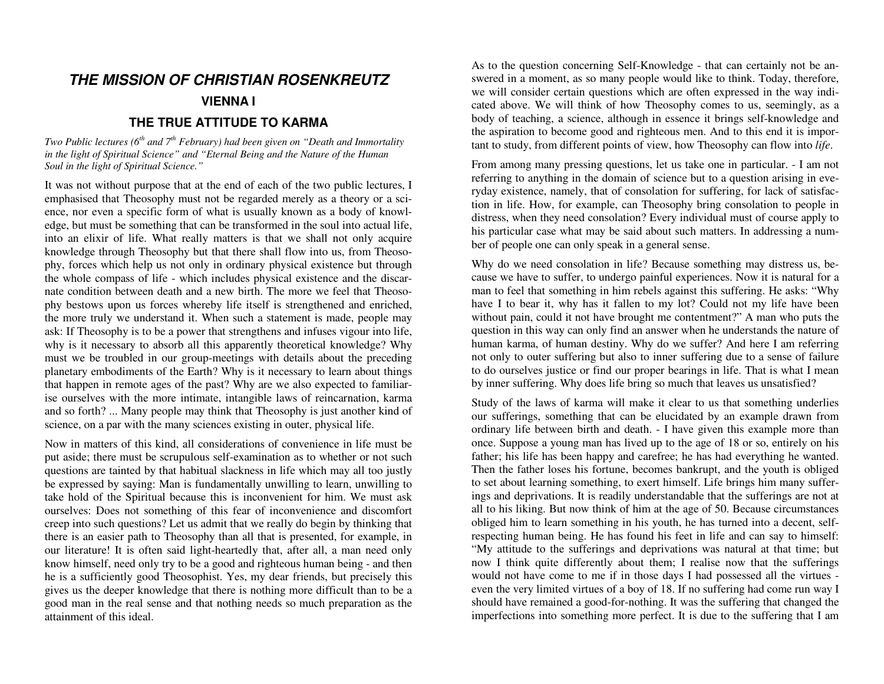# **THE MISSION OF CHRISTIAN ROSENKREUTZ VIENNA I**

## **THE TRUE ATTITUDE TO KARMA**

*Two Public lectures (6th and 7th February) had been given on "Death and Immortalityin the light of Spiritual Science" and "Eternal Being and the Nature of the Human Soul in the light of Spiritual Science."* 

It was not without purpose that at the end of each of the two public lectures, I emphasised that Theosophy must not be regarded merely as a theory or a science, nor even a specific form of what is usually known as a body of knowledge, but must be something that can be transformed in the soul into actual life, into an elixir of life. What really matters is that we shall not only acquire knowledge through Theosophy but that there shall flow into us, from Theosophy, forces which help us not only in ordinary physical existence but through the whole compass of life - which includes physical existence and the discarnate condition between death and a new birth. The more we feel that Theosophy bestows upon us forces whereby life itself is strengthened and enriched, the more truly we understand it. When such a statement is made, people may ask: If Theosophy is to be a power that strengthens and infuses vigour into life, why is it necessary to absorb all this apparently theoretical knowledge? Why must we be troubled in our group-meetings with details about the preceding planetary embodiments of the Earth? Why is it necessary to learn about things that happen in remote ages of the past? Why are we also expected to familiarise ourselves with the more intimate, intangible laws of reincarnation, karma and so forth? ... Many people may think that Theosophy is just another kind of science, on a par with the many sciences existing in outer, physical life.

Now in matters of this kind, all considerations of convenience in life must be put aside; there must be scrupulous self-examination as to whether or not such questions are tainted by that habitual slackness in life which may all too justly be expressed by saying: Man is fundamentally unwilling to learn, unwilling to take hold of the Spiritual because this is inconvenient for him. We must ask ourselves: Does not something of this fear of inconvenience and discomfort creep into such questions? Let us admit that we really do begin by thinking that there is an easier path to Theosophy than all that is presented, for example, in our literature! It is often said light-heartedly that, after all, a man need only know himself, need only try to be a good and righteous human being - and then he is a sufficiently good Theosophist. Yes, my dear friends, but precisely this gives us the deeper knowledge that there is nothing more difficult than to be a good man in the real sense and that nothing needs so much preparation as the attainment of this ideal.

As to the question concerning Self-Knowledge - that can certainly not be answered in a moment, as so many people would like to think. Today, therefore, we will consider certain questions which are often expressed in the way indicated above. We will think of how Theosophy comes to us, seemingly, as a body of teaching, a science, although in essence it brings self-knowledge and the aspiration to become good and righteous men. And to this end it is important to study, from different points of view, how Theosophy can flow into *life*.

From among many pressing questions, let us take one in particular. - I am not referring to anything in the domain of science but to a question arising in everyday existence, namely, that of consolation for suffering, for lack of satisfaction in life. How, for example, can Theosophy bring consolation to people in distress, when they need consolation? Every individual must of course apply to his particular case what may be said about such matters. In addressing a number of people one can only speak in a general sense.

Why do we need consolation in life? Because something may distress us, because we have to suffer, to undergo painful experiences. Now it is natural for a man to feel that something in him rebels against this suffering. He asks: "Why have I to bear it, why has it fallen to my lot? Could not my life have been without pain, could it not have brought me contentment?" A man who puts the question in this way can only find an answer when he understands the nature of human karma, of human destiny. Why do we suffer? And here I am referring not only to outer suffering but also to inner suffering due to a sense of failure to do ourselves justice or find our proper bearings in life. That is what I mean by inner suffering. Why does life bring so much that leaves us unsatisfied?

Study of the laws of karma will make it clear to us that something underlies our sufferings, something that can be elucidated by an example drawn from ordinary life between birth and death. - I have given this example more than once. Suppose a young man has lived up to the age of 18 or so, entirely on his father; his life has been happy and carefree; he has had everything he wanted. Then the father loses his fortune, becomes bankrupt, and the youth is obliged to set about learning something, to exert himself. Life brings him many sufferings and deprivations. It is readily understandable that the sufferings are not at all to his liking. But now think of him at the age of 50. Because circumstances obliged him to learn something in his youth, he has turned into a decent, selfrespecting human being. He has found his feet in life and can say to himself: "My attitude to the sufferings and deprivations was natural at that time; but now I think quite differently about them; I realise now that the sufferings would not have come to me if in those days I had possessed all the virtues even the very limited virtues of a boy of 18. If no suffering had come run way I should have remained a good-for-nothing. It was the suffering that changed the imperfections into something more perfect. It is due to the suffering that I am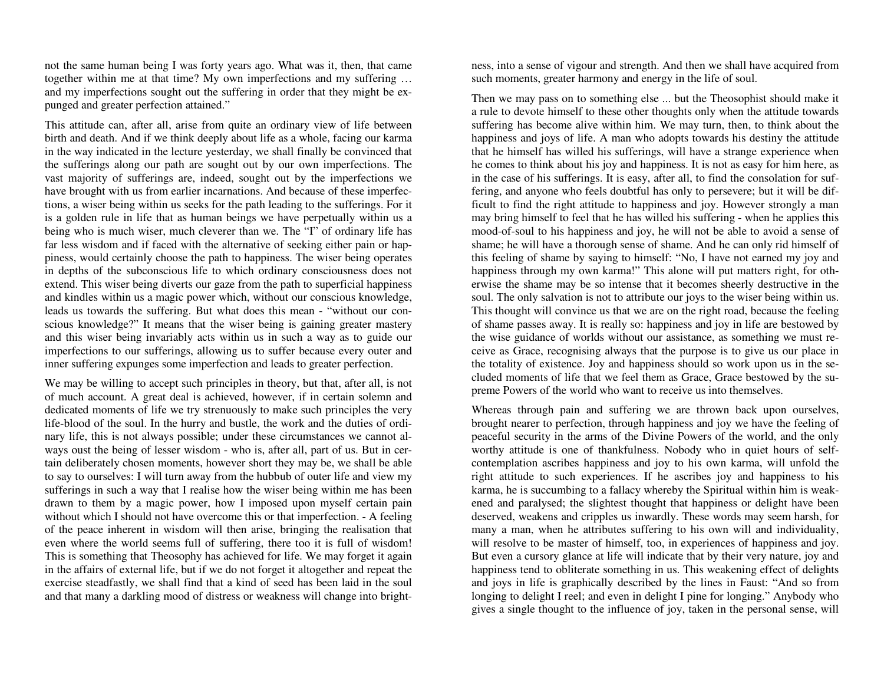not the same human being I was forty years ago. What was it, then, that came together within me at that time? My own imperfections and my suffering … and my imperfections sought out the suffering in order that they might be expunged and greater perfection attained."

This attitude can, after all, arise from quite an ordinary view of life between birth and death. And if we think deeply about life as a whole, facing our karma in the way indicated in the lecture yesterday, we shall finally be convinced that the sufferings along our path are sought out by our own imperfections. The vast majority of sufferings are, indeed, sought out by the imperfections we have brought with us from earlier incarnations. And because of these imperfections, a wiser being within us seeks for the path leading to the sufferings. For it is a golden rule in life that as human beings we have perpetually within us a being who is much wiser, much cleverer than we. The "I" of ordinary life has far less wisdom and if faced with the alternative of seeking either pain or happiness, would certainly choose the path to happiness. The wiser being operates in depths of the subconscious life to which ordinary consciousness does not extend. This wiser being diverts our gaze from the path to superficial happiness and kindles within us a magic power which, without our conscious knowledge, leads us towards the suffering. But what does this mean - "without our conscious knowledge?" It means that the wiser being is gaining greater mastery and this wiser being invariably acts within us in such a way as to guide our imperfections to our sufferings, allowing us to suffer because every outer and inner suffering expunges some imperfection and leads to greater perfection.

We may be willing to accept such principles in theory, but that, after all, is not of much account. A great deal is achieved, however, if in certain solemn and dedicated moments of life we try strenuously to make such principles the very life-blood of the soul. In the hurry and bustle, the work and the duties of ordinary life, this is not always possible; under these circumstances we cannot always oust the being of lesser wisdom - who is, after all, part of us. But in certain deliberately chosen moments, however short they may be, we shall be able to say to ourselves: I will turn away from the hubbub of outer life and view my sufferings in such a way that I realise how the wiser being within me has been drawn to them by a magic power, how I imposed upon myself certain pain without which I should not have overcome this or that imperfection. - A feeling of the peace inherent in wisdom will then arise, bringing the realisation that even where the world seems full of suffering, there too it is full of wisdom! This is something that Theosophy has achieved for life. We may forget it again in the affairs of external life, but if we do not forget it altogether and repeat the exercise steadfastly, we shall find that a kind of seed has been laid in the soul and that many a darkling mood of distress or weakness will change into bright-

ness, into a sense of vigour and strength. And then we shall have acquired from<br>such moments, greater harmony and energy in the life of soul.<br>Then we may pass on to something else ... but the Theosophist should make it<br>a r fering, and anyone who feels doubtful has only to persevere; but it will be difficult to find the right attitude to happiness and joy. However strongly a man may bring himself to feel that he has willed his suffering - when he applies this mood-of-soul to his happiness and joy, he will not be able to avoid a sense of shame; he will have a thorough sense of shame. And he can onl erwise the shame may be so intense that it becomes sheerly destructive in the soul. The only salvation is not to attribute our joys to the wiser being within us.<br>This thought will convince us that we are on the right road, because the feeling<br>of shame passes away. It is really so: happiness and joy ceive as Grace, recognising always that the purpose is to give us our place in the totality of existence. Joy and happiness should so work upon us in the secluded moments of life that we feel them as Grace, Grace bestowed by the su-

preme Powers of the world who want to receive us into themselves.<br>Whereas through pain and suffering we are thrown back upon ourselves,<br>brought nearer to perfection, through happiness and joy we have the feeling of<br>peacefu contemplation ascribes happiness and joy to his own karma, will unfold the right attitude to such experiences. If he ascribes joy and happiness to his karma, he is succumbing to a fallacy whereby the Spiritual within him is weakened and paralysed; the slightest thought that happiness or delight have been deserved, weakens and cripples us inwardly. These words may seem harsh, for<br>many a man, when he attributes suffering to his own will and individuality,<br>will resolve to be master of himself, too, in experiences of happiness gives a single thought to the influence of joy, taken in the personal sense, will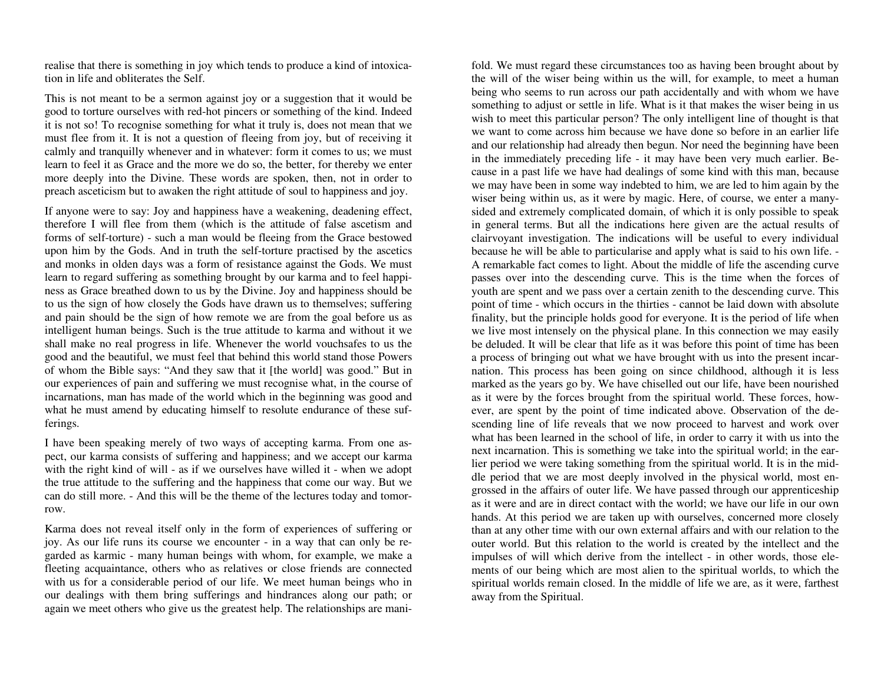realise that there is something in joy which tends to produce a kind of intoxication in life and obliterates the Self.

This is not meant to be a sermon against joy or a suggestion that it would be good to torture ourselves with red-hot pincers or something of the kind. Indeed it is not so! To recognise something for what it truly is, does not mean that we must flee from it. It is not a question of fleeing from joy, but of receiving it calmly and tranquilly whenever and in whatever: form it comes to us; we must learn to feel it as Grace and the more we do so, the better, for thereby we enter more deeply into the Divine. These words are spoken, then, not in order to preach asceticism but to awaken the right attitude of soul to happiness and joy.

If anyone were to say: Joy and happiness have a weakening, deadening effect, therefore I will flee from them (which is the attitude of false ascetism and forms of self-torture) - such a man would be fleeing from the Grace bestowed upon him by the Gods. And in truth the self-torture practised by the ascetics and monks in olden days was a form of resistance against the Gods. We must learn to regard suffering as something brought by our karma and to feel happiness as Grace breathed down to us by the Divine. Joy and happiness should be to us the sign of how closely the Gods have drawn us to themselves; suffering and pain should be the sign of how remote we are from the goal before us as intelligent human beings. Such is the true attitude to karma and without it we shall make no real progress in life. Whenever the world vouchsafes to us the good and the beautiful, we must feel that behind this world stand those Powers of whom the Bible says: "And they saw that it [the world] was good." But in our experiences of pain and suffering we must recognise what, in the course of incarnations, man has made of the world which in the beginning was good and what he must amend by educating himself to resolute endurance of these sufferings.

I have been speaking merely of two ways of accepting karma. From one aspect, our karma consists of suffering and happiness; and we accept our karma with the right kind of will - as if we ourselves have willed it - when we adopt the true attitude to the suffering and the happiness that come our way. But we can do still more. - And this will be the theme of the lectures today and tomorrow.

Karma does not reveal itself only in the form of experiences of suffering or joy. As our life runs its course we encounter - in a way that can only be regarded as karmic - many human beings with whom, for example, we make a fleeting acquaintance, others who as relatives or close friends are connected with us for a considerable period of our life. We meet human beings who in our dealings with them bring sufferings and hindrances along our path; or again we meet others who give us the greatest help. The relationships are manifold. We must regard these circumstances too as having been brought about by<br>the will of the wiser being within us the will, for example, to meet a human<br>being who seems to run across our path accidentally and with whom we cause in a past life we have had dealings of some kind with this man, because we may have been in some way indebted to him, we are led to him again by the wiser being within us, as it were by magic. Here, of course, we enter a manysided and extremely complicated domain, of which it is only possible to speak sided and extremely complicated domain, of which it is only possible to speak<br>in general terms. But all the indications here given are the actual results of<br>clairvoyant investigation. The indications will be useful to ever nation. This process has been going on since childhood, although it is less marked as the years go by. We have chiselled out our life, have been nourished as it were by the forces brought from the spiritual world. These forces, how ever, are spent by the point of time indicated above. Observation of the descending line of life reveals that we now proceed to harvest and work over what has been learned in the school of life, in order to carry it with us into the next incarnation. This is something we take into the spiritual world; in the ear lier period we were taking something from the spiritual world. It is in the mid dle period that we are most deeply involved in the physical world, most engrossed in the affairs of outer life. We have passed through our apprenticeship as it were and are in direct contact with the world; we have our life in our own<br>hands. At this period we are taken up with ourselves, concerned more closely<br>than at any other time with our own external affairs and with ou ments of our being which are most alien to the spiritual worlds, to which the spiritual worlds remain closed. In the middle of life we are, as it were, farthest away from the Spiritual.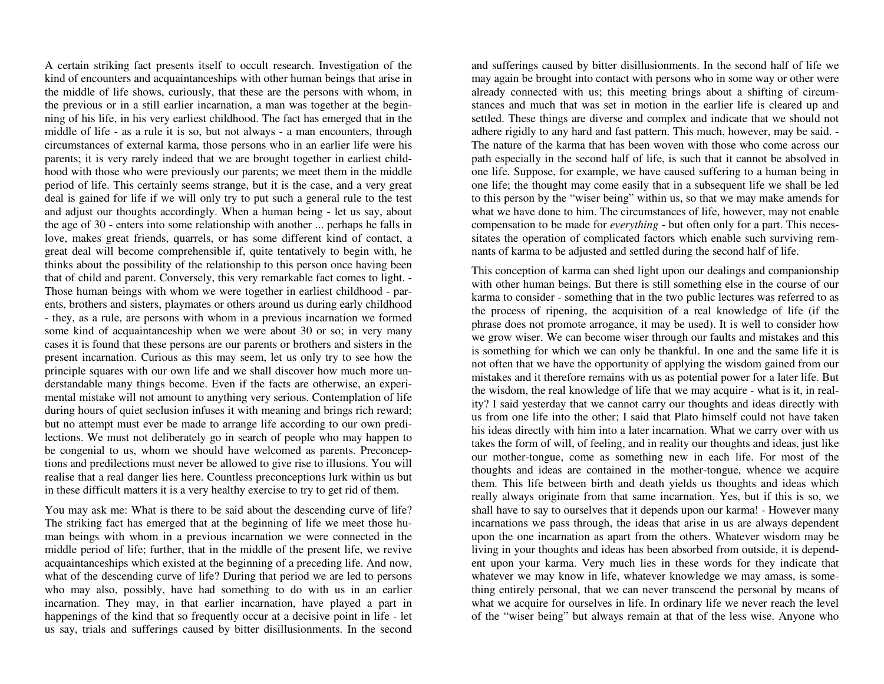A certain striking fact presents itself to occult research. Investigation of the kind of encounters and acquaintanceships with other human beings that arise in the middle of life shows, curiously, that these are the persons with whom, in the previous or in a still earlier incarnation, a man was together at the beginning of his life, in his very earliest childhood. The fact has emerged that in the middle of life - as a rule it is so, but not always - a man encounters, through circumstances of external karma, those persons who in an earlier life were his parents; it is very rarely indeed that we are brought together in earliest childhood with those who were previously our parents; we meet them in the middle period of life. This certainly seems strange, but it is the case, and a very great deal is gained for life if we will only try to put such a general rule to the test and adjust our thoughts accordingly. When a human being - let us say, about the age of 30 - enters into some relationship with another ... perhaps he falls in love, makes great friends, quarrels, or has some different kind of contact, a great deal will become comprehensible if, quite tentatively to begin with, he thinks about the possibility of the relationship to this person once having been that of child and parent. Conversely, this very remarkable fact comes to light. - Those human beings with whom we were together in earliest childhood - parents, brothers and sisters, playmates or others around us during early childhood - they, as a rule, are persons with whom in a previous incarnation we formed some kind of acquaintanceship when we were about 30 or so; in very many cases it is found that these persons are our parents or brothers and sisters in the present incarnation. Curious as this may seem, let us only try to see how the principle squares with our own life and we shall discover how much more understandable many things become. Even if the facts are otherwise, an experimental mistake will not amount to anything very serious. Contemplation of life during hours of quiet seclusion infuses it with meaning and brings rich reward; but no attempt must ever be made to arrange life according to our own predilections. We must not deliberately go in search of people who may happen to be congenial to us, whom we should have welcomed as parents. Preconceptions and predilections must never be allowed to give rise to illusions. You will realise that a real danger lies here. Countless preconceptions lurk within us but in these difficult matters it is a very healthy exercise to try to get rid of them.

You may ask me: What is there to be said about the descending curve of life? The striking fact has emerged that at the beginning of life we meet those human beings with whom in a previous incarnation we were connected in the middle period of life; further, that in the middle of the present life, we revive acquaintanceships which existed at the beginning of a preceding life. And now, what of the descending curve of life? During that period we are led to persons who may also, possibly, have had something to do with us in an earlier incarnation. They may, in that earlier incarnation, have played a part in happenings of the kind that so frequently occur at a decisive point in life - let us say, trials and sufferings caused by bitter disillusionments. In the second

and sufferings caused by bitter disillusionments. In the second half of life we may again be brought into contact with persons who in some way or other were already connected with us; this meeting brings about a shifting of circumstances and much that was set in motion in the earlier life is cleared up and settled. These things are diverse and complex and indicate that we should not adhere rigidly to any hard and fast pattern. This much, however, may be said. - The nature of the karma that has been woven with those who come across our path especially in the second half of life, is such that it cannot be absolved in one life. Suppose, for example, we have caused suffering to a human being in one life; the thought may come easily that in a subsequent life we shall be led to this person by the "wiser being" within us, so that we may make amends for what we have done to him. The circumstances of life, however, may not enable compensation to be made for *everything* - but often only for a part. This necessitates the operation of complicated factors which enable such surviving remnants of karma to be adjusted and settled during the second half of life.

This conception of karma can shed light upon our dealings and companionship with other human beings. But there is still something else in the course of our karma to consider - something that in the two public lectures was referred to as the process of ripening, the acquisition of a real knowledge of life (if the phrase does not promote arrogance, it may be used). It is well to consider how we grow wiser. We can become wiser through our faults and mistakes and this is something for which we can only be thankful. In one and the same life it is not often that we have the opportunity of applying the wisdom gained from our mistakes and it therefore remains with us as potential power for a later life. But the wisdom, the real knowledge of life that we may acquire - what is it, in reality? I said yesterday that we cannot carry our thoughts and ideas directly with us from one life into the other; I said that Plato himself could not have taken his ideas directly with him into a later incarnation. What we carry over with us takes the form of will, of feeling, and in reality our thoughts and ideas, just like our mother-tongue, come as something new in each life. For most of the thoughts and ideas are contained in the mother-tongue, whence we acquire them. This life between birth and death yields us thoughts and ideas which really always originate from that same incarnation. Yes, but if this is so, we shall have to say to ourselves that it depends upon our karma! - However many incarnations we pass through, the ideas that arise in us are always dependent upon the one incarnation as apart from the others. Whatever wisdom may be living in your thoughts and ideas has been absorbed from outside, it is dependent upon your karma. Very much lies in these words for they indicate that whatever we may know in life, whatever knowledge we may amass, is something entirely personal, that we can never transcend the personal by means of what we acquire for ourselves in life. In ordinary life we never reach the level of the "wiser being" but always remain at that of the less wise. Anyone who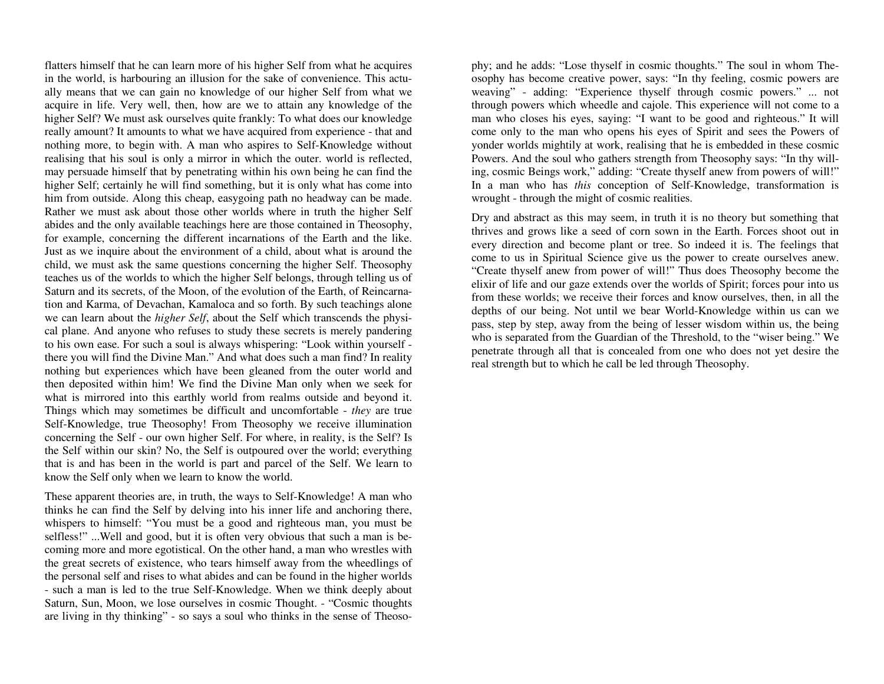flatters himself that he can learn more of his higher Self from what he acquires in the world, is harbouring an illusion for the sake of convenience. This actually means that we can gain no knowledge of our higher Self from what we acquire in life. Very well, then, how are we to attain any knowledge of the higher Self? We must ask ourselves quite frankly: To what does our knowledge really amount? It amounts to what we have acquired from experience - that and nothing more, to begin with. A man who aspires to Self-Knowledge without realising that his soul is only a mirror in which the outer. world is reflected, may persuade himself that by penetrating within his own being he can find the higher Self; certainly he will find something, but it is only what has come into him from outside. Along this cheap, easygoing path no headway can be made. Rather we must ask about those other worlds where in truth the higher Self abides and the only available teachings here are those contained in Theosophy, for example, concerning the different incarnations of the Earth and the like. Just as we inquire about the environment of a child, about what is around the child, we must ask the same questions concerning the higher Self. Theosophy teaches us of the worlds to which the higher Self belongs, through telling us of Saturn and its secrets, of the Moon, of the evolution of the Earth, of Reincarnation and Karma, of Devachan, Kamaloca and so forth. By such teachings alone we can learn about the *higher Self*, about the Self which transcends the physical plane. And anyone who refuses to study these secrets is merely pandering to his own ease. For such a soul is always whispering: "Look within yourself there you will find the Divine Man." And what does such a man find? In reality nothing but experiences which have been gleaned from the outer world and then deposited within him! We find the Divine Man only when we seek for what is mirrored into this earthly world from realms outside and beyond it. Things which may sometimes be difficult and uncomfortable - *they* are true Self-Knowledge, true Theosophy! From Theosophy we receive illumination concerning the Self - our own higher Self. For where, in reality, is the Self? Is the Self within our skin? No, the Self is outpoured over the world; everything that is and has been in the world is part and parcel of the Self. We learn to know the Self only when we learn to know the world.

These apparent theories are, in truth, the ways to Self-Knowledge! A man who thinks he can find the Self by delving into his inner life and anchoring there, whispers to himself: "You must be a good and righteous man, you must be selfless!" ...Well and good, but it is often very obvious that such a man is becoming more and more egotistical. On the other hand, a man who wrestles with the great secrets of existence, who tears himself away from the wheedlings of the personal self and rises to what abides and can be found in the higher worlds - such a man is led to the true Self-Knowledge. When we think deeply about Saturn, Sun, Moon, we lose ourselves in cosmic Thought. - "Cosmic thoughts are living in thy thinking" - so says a soul who thinks in the sense of Theoso-

phy; and he adds: "Lose thyself in cosmic thoughts." The soul in whom Theosophy has become creative power, says: "In thy feeling, cosmic powers are weaving" - adding: "Experience thyself through cosmic powers." ... not through powers which wheedle and cajole. This experience will not come to a man who closes his eyes, saying: "I want to be good and righteous." It will ing, cosmic Beings work," adding: "Create thyself anew from powers of will!"

ing, cosmic Beings work," adding: "Create thyself anew from powers of will!"<br>In a man who has *this* conception of Self-Knowledge, transformation is<br>wrought - through the might of cosmic realities.<br>Dry and abstract as this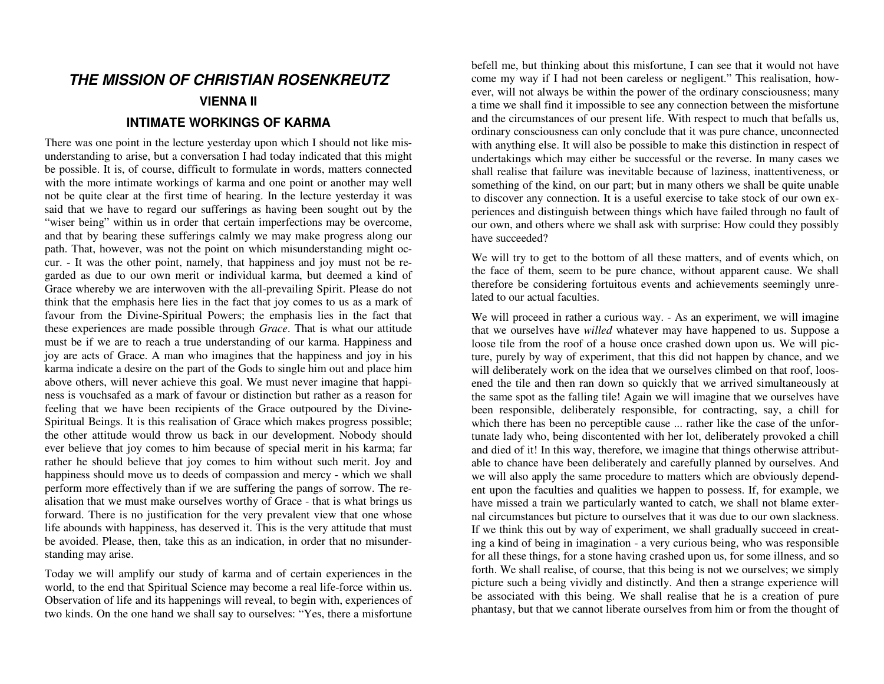# **THE MISSION OF CHRISTIAN ROSENKREUTZ**

#### **VIENNA II**

#### **INTIMATE WORKINGS OF KARMA**

There was one point in the lecture yesterday upon which I should not like misunderstanding to arise, but a conversation I had today indicated that this might be possible. It is, of course, difficult to formulate in words, matters connected with the more intimate workings of karma and one point or another may well not be quite clear at the first time of hearing. In the lecture yesterday it was said that we have to regard our sufferings as having been sought out by the "wiser being" within us in order that certain imperfections may be overcome, and that by bearing these sufferings calmly we may make progress along our path. That, however, was not the point on which misunderstanding might occur. - It was the other point, namely, that happiness and joy must not be regarded as due to our own merit or individual karma, but deemed a kind of Grace whereby we are interwoven with the all-prevailing Spirit. Please do not think that the emphasis here lies in the fact that joy comes to us as a mark of favour from the Divine-Spiritual Powers; the emphasis lies in the fact that these experiences are made possible through *Grace*. That is what our attitude must be if we are to reach a true understanding of our karma. Happiness and joy are acts of Grace. A man who imagines that the happiness and joy in his karma indicate a desire on the part of the Gods to single him out and place him above others, will never achieve this goal. We must never imagine that happiness is vouchsafed as a mark of favour or distinction but rather as a reason for feeling that we have been recipients of the Grace outpoured by the Divine-Spiritual Beings. It is this realisation of Grace which makes progress possible; the other attitude would throw us back in our development. Nobody should ever believe that joy comes to him because of special merit in his karma; far rather he should believe that joy comes to him without such merit. Joy and happiness should move us to deeds of compassion and mercy - which we shall perform more effectively than if we are suffering the pangs of sorrow. The realisation that we must make ourselves worthy of Grace - that is what brings us forward. There is no justification for the very prevalent view that one whose life abounds with happiness, has deserved it. This is the very attitude that must be avoided. Please, then, take this as an indication, in order that no misunderstanding may arise.

Today we will amplify our study of karma and of certain experiences in the world, to the end that Spiritual Science may become a real life-force within us. Observation of life and its happenings will reveal, to begin with, experiences of two kinds. On the one hand we shall say to ourselves: "Yes, there a misfortune

befell me, but thinking about this misfortune, I can see that it would not have come my way if I had not been careless or negligent." This realisation, however, will not always be within the power of the ordinary consciousness; many a time we shall find it impossible to see any connection between the misfortune and the circumstances of our present life. With respect to much that befalls us, ordinary consciousness can only conclude that it was pure chance, unconnected with anything else. It will also be possible to make this distinction in respect of undertakings which may either be successful or the reverse. In many cases we shall realise that failure was inevitable because of laziness, inattentiveness, or something of the kind, on our part; but in many others we shall be quite unable to discover any connection. It is a useful exercise to take stock of our own experiences and distinguish between things which have failed through no fault of our own, and others where we shall ask with surprise: How could they possibly have succeeded?

We will try to get to the bottom of all these matters, and of events which, on the face of them, seem to be pure chance, without apparent cause. We shall therefore be considering fortuitous events and achievements seemingly unrelated to our actual faculties.

We will proceed in rather a curious way. - As an experiment, we will imagine that we ourselves have *willed* whatever may have happened to us. Suppose a loose tile from the roof of a house once crashed down upon us. We will picture, purely by way of experiment, that this did not happen by chance, and we will deliberately work on the idea that we ourselves climbed on that roof, loosened the tile and then ran down so quickly that we arrived simultaneously at the same spot as the falling tile! Again we will imagine that we ourselves have been responsible, deliberately responsible, for contracting, say, a chill for which there has been no perceptible cause ... rather like the case of the unfortunate lady who, being discontented with her lot, deliberately provoked a chill and died of it! In this way, therefore, we imagine that things otherwise attributable to chance have been deliberately and carefully planned by ourselves. And we will also apply the same procedure to matters which are obviously dependent upon the faculties and qualities we happen to possess. If, for example, we have missed a train we particularly wanted to catch, we shall not blame external circumstances but picture to ourselves that it was due to our own slackness. If we think this out by way of experiment, we shall gradually succeed in creating a kind of being in imagination - a very curious being, who was responsible for all these things, for a stone having crashed upon us, for some illness, and so forth. We shall realise, of course, that this being is not we ourselves; we simply picture such a being vividly and distinctly. And then a strange experience will be associated with this being. We shall realise that he is a creation of pure phantasy, but that we cannot liberate ourselves from him or from the thought of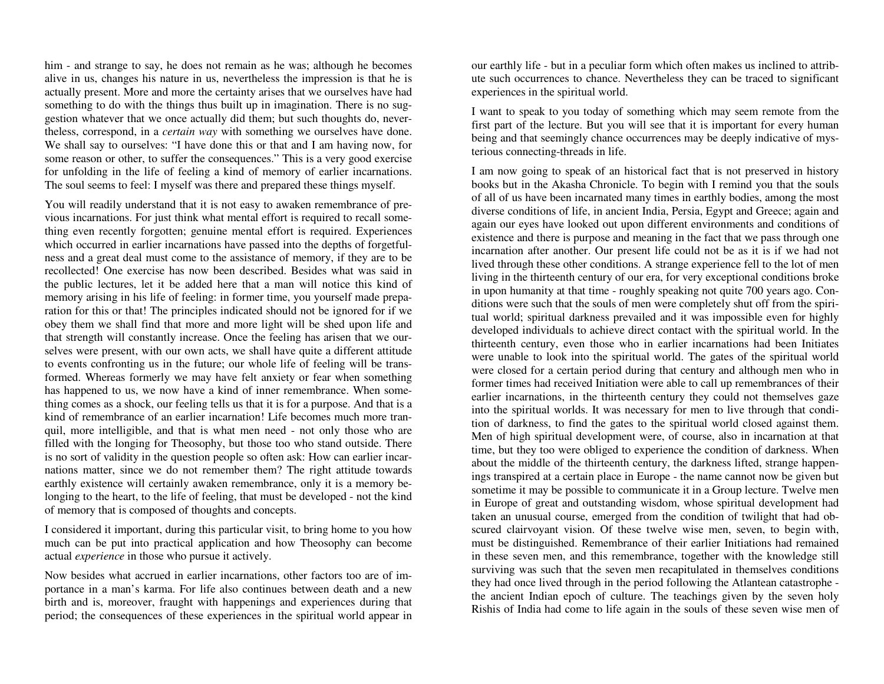him - and strange to say, he does not remain as he was; although he becomes alive in us, changes his nature in us, nevertheless the impression is that he is actually present. More and more the certainty arises that we ourselves have had something to do with the things thus built up in imagination. There is no suggestion whatever that we once actually did them; but such thoughts do, nevertheless, correspond, in a *certain way* with something we ourselves have done. We shall say to ourselves: "I have done this or that and I am having now, for some reason or other, to suffer the consequences." This is a very good exercise for unfolding in the life of feeling a kind of memory of earlier incarnations. The soul seems to feel: I myself was there and prepared these things myself.

You will readily understand that it is not easy to awaken remembrance of previous incarnations. For just think what mental effort is required to recall something even recently forgotten; genuine mental effort is required. Experiences which occurred in earlier incarnations have passed into the depths of forgetfulness and a great deal must come to the assistance of memory, if they are to be recollected! One exercise has now been described. Besides what was said in the public lectures, let it be added here that a man will notice this kind of memory arising in his life of feeling: in former time, you yourself made preparation for this or that! The principles indicated should not be ignored for if we obey them we shall find that more and more light will be shed upon life and that strength will constantly increase. Once the feeling has arisen that we ourselves were present, with our own acts, we shall have quite a different attitude to events confronting us in the future; our whole life of feeling will be transformed. Whereas formerly we may have felt anxiety or fear when something has happened to us, we now have a kind of inner remembrance. When something comes as a shock, our feeling tells us that it is for a purpose. And that is a kind of remembrance of an earlier incarnation! Life becomes much more tranquil, more intelligible, and that is what men need - not only those who are filled with the longing for Theosophy, but those too who stand outside. There is no sort of validity in the question people so often ask: How can earlier incarnations matter, since we do not remember them? The right attitude towards earthly existence will certainly awaken remembrance, only it is a memory belonging to the heart, to the life of feeling, that must be developed - not the kind of memory that is composed of thoughts and concepts.

I considered it important, during this particular visit, to bring home to you how much can be put into practical application and how Theosophy can become actual *experience* in those who pursue it actively.

Now besides what accrued in earlier incarnations, other factors too are of importance in a man's karma. For life also continues between death and a new birth and is, moreover, fraught with happenings and experiences during that period; the consequences of these experiences in the spiritual world appear in

our earthly life - but in a peculiar form which often makes us inclined to attribute such occurrences to chance. Nevertheless they can be traced to significant experiences in the spiritual world.

I want to speak to you today of something which may seem remote from the first part of the lecture. But you will see that it is important for every human being and that seemingly chance occurrences may be deeply indicative of mysterious connecting-threads in life.

I am now going to speak of an historical fact that is not preserved in history books but in the Akasha Chronicle. To begin with I remind you that the souls of all of us have been incarnated many times in earthly bodies, among the most diverse conditions of life, in ancient India, Persia, Egypt and Greece; again and again our eyes have looked out upon different environments and conditions of existence and there is purpose and meaning in the fact that we pass through one incarnation after another. Our present life could not be as it is if we had not lived through these other conditions. A strange experience fell to the lot of men living in the thirteenth century of our era, for very exceptional conditions broke in upon humanity at that time - roughly speaking not quite 700 years ago. Conditions were such that the souls of men were completely shut off from the spiritual world; spiritual darkness prevailed and it was impossible even for highly developed individuals to achieve direct contact with the spiritual world. In the thirteenth century, even those who in earlier incarnations had been Initiates were unable to look into the spiritual world. The gates of the spiritual world were closed for a certain period during that century and although men who in former times had received Initiation were able to call up remembrances of their earlier incarnations, in the thirteenth century they could not themselves gaze into the spiritual worlds. It was necessary for men to live through that condition of darkness, to find the gates to the spiritual world closed against them. Men of high spiritual development were, of course, also in incarnation at that time, but they too were obliged to experience the condition of darkness. When about the middle of the thirteenth century, the darkness lifted, strange happenings transpired at a certain place in Europe - the name cannot now be given but sometime it may be possible to communicate it in a Group lecture. Twelve men in Europe of great and outstanding wisdom, whose spiritual development had taken an unusual course, emerged from the condition of twilight that had obscured clairvoyant vision. Of these twelve wise men, seven, to begin with, must be distinguished. Remembrance of their earlier Initiations had remained in these seven men, and this remembrance, together with the knowledge still surviving was such that the seven men recapitulated in themselves conditions they had once lived through in the period following the Atlantean catastrophe the ancient Indian epoch of culture. The teachings given by the seven holy Rishis of India had come to life again in the souls of these seven wise men of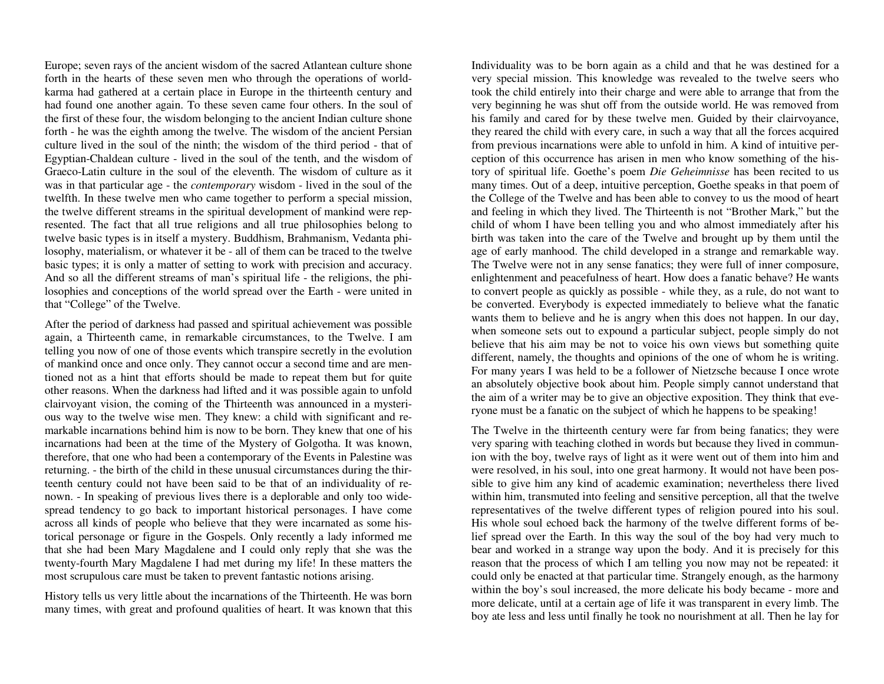Europe; seven rays of the ancient wisdom of the sacred Atlantean culture shone forth in the hearts of these seven men who through the operations of worldkarma had gathered at a certain place in Europe in the thirteenth century and had found one another again. To these seven came four others. In the soul of the first of these four, the wisdom belonging to the ancient Indian culture shone forth - he was the eighth among the twelve. The wisdom of the ancient Persian culture lived in the soul of the ninth; the wisdom of the third period - that of Egyptian-Chaldean culture - lived in the soul of the tenth, and the wisdom of Graeco-Latin culture in the soul of the eleventh. The wisdom of culture as it was in that particular age - the *contemporary* wisdom - lived in the soul of the twelfth. In these twelve men who came together to perform a special mission, the twelve different streams in the spiritual development of mankind were represented. The fact that all true religions and all true philosophies belong to twelve basic types is in itself a mystery. Buddhism, Brahmanism, Vedanta philosophy, materialism, or whatever it be - all of them can be traced to the twelve basic types; it is only a matter of setting to work with precision and accuracy. And so all the different streams of man's spiritual life - the religions, the philosophies and conceptions of the world spread over the Earth - were united in that "College" of the Twelve.

After the period of darkness had passed and spiritual achievement was possible again, a Thirteenth came, in remarkable circumstances, to the Twelve. I am telling you now of one of those events which transpire secretly in the evolution of mankind once and once only. They cannot occur a second time and are mentioned not as a hint that efforts should be made to repeat them but for quite other reasons. When the darkness had lifted and it was possible again to unfold clairvoyant vision, the coming of the Thirteenth was announced in a mysterious way to the twelve wise men. They knew: a child with significant and remarkable incarnations behind him is now to be born. They knew that one of his incarnations had been at the time of the Mystery of Golgotha. It was known, therefore, that one who had been a contemporary of the Events in Palestine was returning. - the birth of the child in these unusual circumstances during the thirteenth century could not have been said to be that of an individuality of renown. - In speaking of previous lives there is a deplorable and only too widespread tendency to go back to important historical personages. I have come across all kinds of people who believe that they were incarnated as some historical personage or figure in the Gospels. Only recently a lady informed me that she had been Mary Magdalene and I could only reply that she was the twenty-fourth Mary Magdalene I had met during my life! In these matters the most scrupulous care must be taken to prevent fantastic notions arising.

History tells us very little about the incarnations of the Thirteenth. He was born many times, with great and profound qualities of heart. It was known that this

Individuality was to be born again as a child and that he was destined for a very special mission. This knowledge was revealed to the twelve seers who took the child entirely into their charge and were able to arrange that from the very beginning he was shut off from the outside world. He was removed from his family and cared for by these twelve men. Guided by their clairvoyance, they reared the child with every care, in such a way that all the forces acquired from previous incarnations were able to unfold in him. A kind of intuitive perception of this occurrence has arisen in men who know something of the history of spiritual life. Goethe's poem *Die Geheimnisse* has been recited to us many times. Out of a deep, intuitive perception, Goethe speaks in that poem of the College of the Twelve and has been able to convey to us the mood of heart and feeling in which they lived. The Thirteenth is not "Brother Mark," but the child of whom I have been telling you and who almost immediately after his birth was taken into the care of the Twelve and brought up by them until the age of early manhood. The child developed in a strange and remarkable way. The Twelve were not in any sense fanatics; they were full of inner composure, enlightenment and peacefulness of heart. How does a fanatic behave? He wants to convert people as quickly as possible - while they, as a rule, do not want to be converted. Everybody is expected immediately to believe what the fanatic wants them to believe and he is angry when this does not happen. In our day, when someone sets out to expound a particular subject, people simply do not believe that his aim may be not to voice his own views but something quite different, namely, the thoughts and opinions of the one of whom he is writing. For many years I was held to be a follower of Nietzsche because I once wrote an absolutely objective book about him. People simply cannot understand that the aim of a writer may be to give an objective exposition. They think that everyone must be a fanatic on the subject of which he happens to be speaking!

The Twelve in the thirteenth century were far from being fanatics; they were very sparing with teaching clothed in words but because they lived in communion with the boy, twelve rays of light as it were went out of them into him and were resolved, in his soul, into one great harmony. It would not have been possible to give him any kind of academic examination; nevertheless there lived within him, transmuted into feeling and sensitive perception, all that the twelve representatives of the twelve different types of religion poured into his soul. His whole soul echoed back the harmony of the twelve different forms of belief spread over the Earth. In this way the soul of the boy had very much to bear and worked in a strange way upon the body. And it is precisely for this reason that the process of which I am telling you now may not be repeated: it could only be enacted at that particular time. Strangely enough, as the harmony within the boy's soul increased, the more delicate his body became - more and more delicate, until at a certain age of life it was transparent in every limb. The boy ate less and less until finally he took no nourishment at all. Then he lay for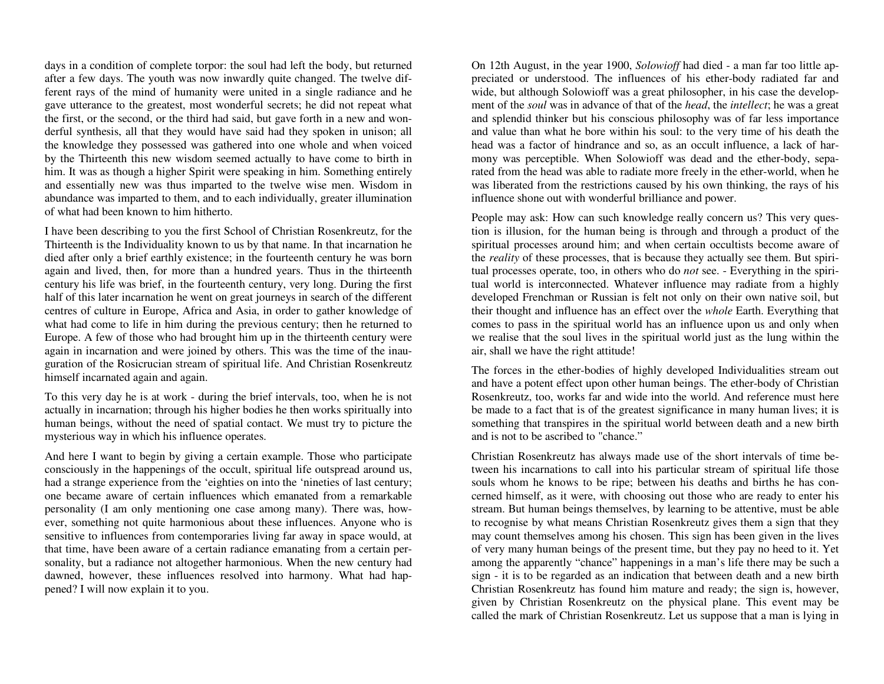days in a condition of complete torpor: the soul had left the body, but returned after a few days. The youth was now inwardly quite changed. The twelve different rays of the mind of humanity were united in a single radiance and he gave utterance to the greatest, most wonderful secrets; he did not repeat what the first, or the second, or the third had said, but gave forth in a new and wonderful synthesis, all that they would have said had they spoken in unison; all the knowledge they possessed was gathered into one whole and when voiced by the Thirteenth this new wisdom seemed actually to have come to birth in him. It was as though a higher Spirit were speaking in him. Something entirely and essentially new was thus imparted to the twelve wise men. Wisdom in abundance was imparted to them, and to each individually, greater illumination of what had been known to him hitherto.

I have been describing to you the first School of Christian Rosenkreutz, for the Thirteenth is the Individuality known to us by that name. In that incarnation he died after only a brief earthly existence; in the fourteenth century he was born again and lived, then, for more than a hundred years. Thus in the thirteenth century his life was brief, in the fourteenth century, very long. During the first half of this later incarnation he went on great journeys in search of the different centres of culture in Europe, Africa and Asia, in order to gather knowledge of what had come to life in him during the previous century; then he returned to Europe. A few of those who had brought him up in the thirteenth century were again in incarnation and were joined by others. This was the time of the inauguration of the Rosicrucian stream of spiritual life. And Christian Rosenkreutz himself incarnated again and again.

To this very day he is at work - during the brief intervals, too, when he is not actually in incarnation; through his higher bodies he then works spiritually into human beings, without the need of spatial contact. We must try to picture the mysterious way in which his influence operates.

And here I want to begin by giving a certain example. Those who participate consciously in the happenings of the occult, spiritual life outspread around us, had a strange experience from the 'eighties on into the 'nineties of last century; one became aware of certain influences which emanated from a remarkable personality (I am only mentioning one case among many). There was, however, something not quite harmonious about these influences. Anyone who is sensitive to influences from contemporaries living far away in space would, at that time, have been aware of a certain radiance emanating from a certain personality, but a radiance not altogether harmonious. When the new century had dawned, however, these influences resolved into harmony. What had happened? I will now explain it to you.

On 12th August, in the year 1900, *Solowioff* had died - a man far too little appreciated or understood. The influences of his ether-body radiated far and wide, but although Solowioff was a great philosopher, in his case the development of the *soul* was in advance of that of the *head*, the *intellect*; he was a great and splendid thinker but his conscious philosophy was of far less importance and value than what he bore within his soul: to the very time of his death the head was a factor of hindrance and so, as an occult influence, a lack of harmony was perceptible. When Solowioff was dead and the ether-body, separated from the head was able to radiate more freely in the ether-world, when he was liberated from the restrictions caused by his own thinking, the rays of his influence shone out with wonderful brilliance and power.

People may ask: How can such knowledge really concern us? This very question is illusion, for the human being is through and through a product of the spiritual processes around him; and when certain occultists become aware of the *reality* of these processes, that is because they actually see them. But spiritual processes operate, too, in others who do *not* see. - Everything in the spiritual world is interconnected. Whatever influence may radiate from a highly developed Frenchman or Russian is felt not only on their own native soil, but their thought and influence has an effect over the *whole* Earth. Everything that comes to pass in the spiritual world has an influence upon us and only when we realise that the soul lives in the spiritual world just as the lung within the air, shall we have the right attitude!

The forces in the ether-bodies of highly developed Individualities stream out and have a potent effect upon other human beings. The ether-body of Christian Rosenkreutz, too, works far and wide into the world. And reference must here be made to a fact that is of the greatest significance in many human lives; it is something that transpires in the spiritual world between death and a new birth and is not to be ascribed to "chance."

Christian Rosenkreutz has always made use of the short intervals of time between his incarnations to call into his particular stream of spiritual life those souls whom he knows to be ripe; between his deaths and births he has concerned himself, as it were, with choosing out those who are ready to enter his stream. But human beings themselves, by learning to be attentive, must be able to recognise by what means Christian Rosenkreutz gives them a sign that they may count themselves among his chosen. This sign has been given in the lives of very many human beings of the present time, but they pay no heed to it. Yet among the apparently "chance" happenings in a man's life there may be such a sign - it is to be regarded as an indication that between death and a new birth Christian Rosenkreutz has found him mature and ready; the sign is, however, given by Christian Rosenkreutz on the physical plane. This event may be called the mark of Christian Rosenkreutz. Let us suppose that a man is lying in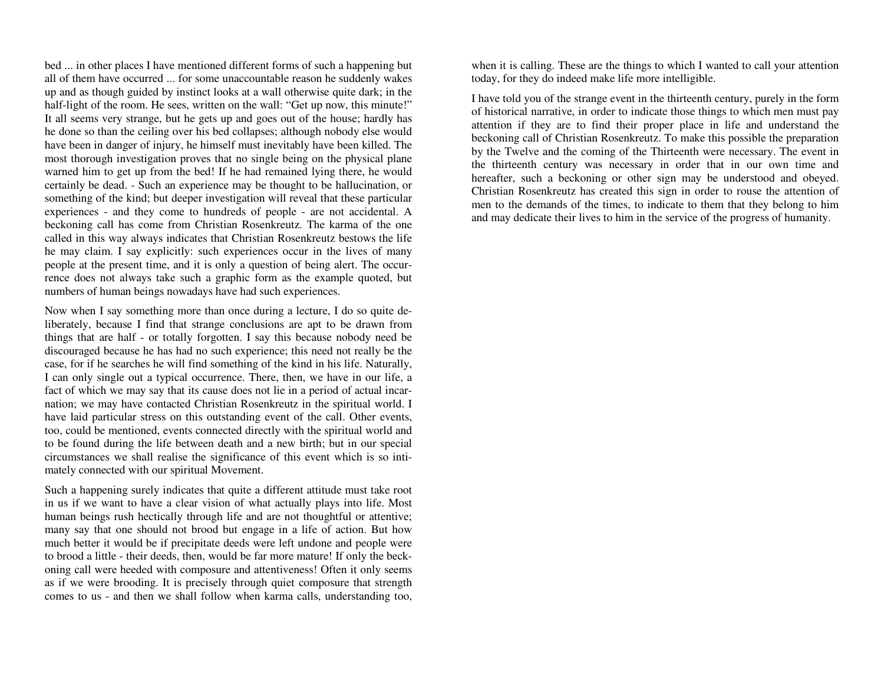bed ... in other places I have mentioned different forms of such a happening but all of them have occurred ... for some unaccountable reason he suddenly wakes up and as though guided by instinct looks at a wall otherwise quite dark; in the half-light of the room. He sees, written on the wall: "Get up now, this minute!" It all seems very strange, but he gets up and goes out of the house; hardly has he done so than the ceiling over his bed collapses; although nobody else would have been in danger of injury, he himself must inevitably have been killed. The most thorough investigation proves that no single being on the physical plane warned him to get up from the bed! If he had remained lying there, he would certainly be dead. - Such an experience may be thought to be hallucination, or something of the kind; but deeper investigation will reveal that these particular experiences - and they come to hundreds of people - are not accidental. A beckoning call has come from Christian Rosenkreutz. The karma of the one called in this way always indicates that Christian Rosenkreutz bestows the life he may claim. I say explicitly: such experiences occur in the lives of many people at the present time, and it is only a question of being alert. The occurrence does not always take such a graphic form as the example quoted, but numbers of human beings nowadays have had such experiences.

Now when I say something more than once during a lecture, I do so quite deliberately, because I find that strange conclusions are apt to be drawn from things that are half - or totally forgotten. I say this because nobody need be discouraged because he has had no such experience; this need not really be the case, for if he searches he will find something of the kind in his life. Naturally, I can only single out a typical occurrence. There, then, we have in our life, a fact of which we may say that its cause does not lie in a period of actual incarnation; we may have contacted Christian Rosenkreutz in the spiritual world. I have laid particular stress on this outstanding event of the call. Other events, too, could be mentioned, events connected directly with the spiritual world and to be found during the life between death and a new birth; but in our special circumstances we shall realise the significance of this event which is so intimately connected with our spiritual Movement.

Such a happening surely indicates that quite a different attitude must take root in us if we want to have a clear vision of what actually plays into life. Most human beings rush hectically through life and are not thoughtful or attentive; many say that one should not brood but engage in a life of action. But how much better it would be if precipitate deeds were left undone and people were to brood a little - their deeds, then, would be far more mature! If only the beckoning call were heeded with composure and attentiveness! Often it only seems as if we were brooding. It is precisely through quiet composure that strength comes to us - and then we shall follow when karma calls, understanding too, when it is calling. These are the things to which I wanted to call your attention today, for they do indeed make life more intelligible.

I have told you of the strange event in the thirteenth century, purely in the form of historical narrative, in order to indicate those things to which men must pay attention if they are to find their proper place in life and understand the beckoning call of Christian Rosenkreutz. To make this possible the preparation by the Twelve and the coming of the Thirteenth were necessary. The event in the thirteenth century was necessary in order that in our own time and hereafter, such a beckoning or other sign may be understood and obeyed. Christian Rosenkreutz has created this sign in order to rouse the attention of men to the demands of the times, to indicate to them that they belong to him and may dedicate their lives to him in the service of the progress of humanity.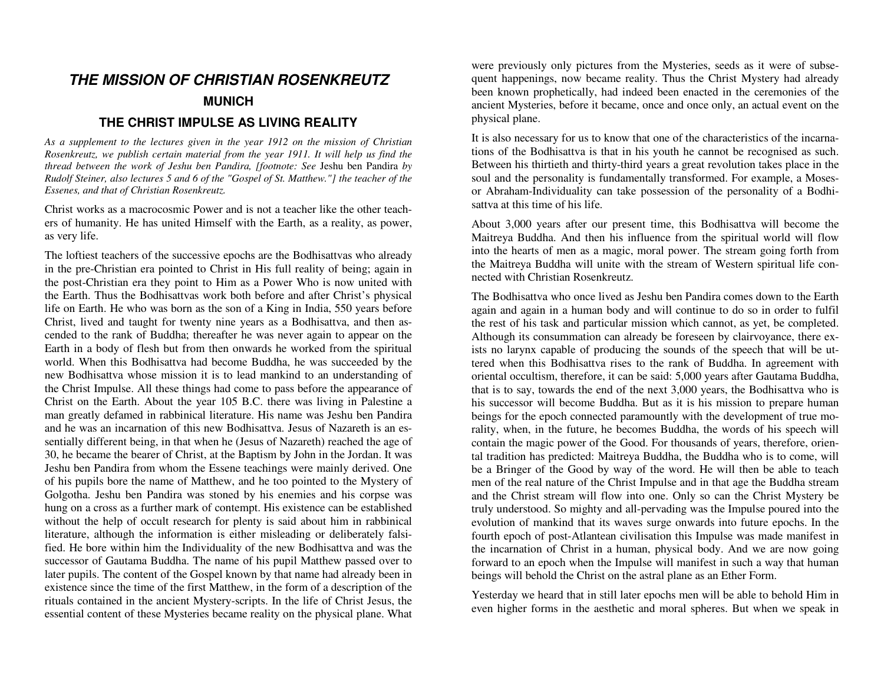# **THE MISSION OF CHRISTIAN ROSENKREUTZ MUNICH**

### **THE CHRIST IMPULSE AS LIVING REALITY**

*As a supplement to the lectures given in the year 1912 on the mission of Christian Rosenkreutz, we publish certain material from the year 1911. It will help us find the thread between the work of Jeshu ben Pandira, [footnote: See* Jeshu ben Pandira *by Rudolf Steiner, also lectures 5 and 6 of the "Gospel of St. Matthew."] the teacher of the Essenes, and that of Christian Rosenkreutz.* 

Christ works as a macrocosmic Power and is not a teacher like the other teachers of humanity. He has united Himself with the Earth, as a reality, as power, as very life.

The loftiest teachers of the successive epochs are the Bodhisattvas who already in the pre-Christian era pointed to Christ in His full reality of being; again in the post-Christian era they point to Him as a Power Who is now united with the Earth. Thus the Bodhisattvas work both before and after Christ's physical life on Earth. He who was born as the son of a King in India, 550 years before Christ, lived and taught for twenty nine years as a Bodhisattva, and then ascended to the rank of Buddha; thereafter he was never again to appear on the Earth in a body of flesh but from then onwards he worked from the spiritual world. When this Bodhisattva had become Buddha, he was succeeded by the new Bodhisattva whose mission it is to lead mankind to an understanding of the Christ Impulse. All these things had come to pass before the appearance of Christ on the Earth. About the year 105 B.C. there was living in Palestine a man greatly defamed in rabbinical literature. His name was Jeshu ben Pandira and he was an incarnation of this new Bodhisattva. Jesus of Nazareth is an essentially different being, in that when he (Jesus of Nazareth) reached the age of 30, he became the bearer of Christ, at the Baptism by John in the Jordan. It was Jeshu ben Pandira from whom the Essene teachings were mainly derived. One of his pupils bore the name of Matthew, and he too pointed to the Mystery of Golgotha. Jeshu ben Pandira was stoned by his enemies and his corpse was hung on a cross as a further mark of contempt. His existence can be established without the help of occult research for plenty is said about him in rabbinical literature, although the information is either misleading or deliberately falsified. He bore within him the Individuality of the new Bodhisattva and was the successor of Gautama Buddha. The name of his pupil Matthew passed over to later pupils. The content of the Gospel known by that name had already been in existence since the time of the first Matthew, in the form of a description of the rituals contained in the ancient Mystery-scripts. In the life of Christ Jesus, the essential content of these Mysteries became reality on the physical plane. What

were previously only pictures from the Mysteries, seeds as it were of subsequent happenings, now became reality. Thus the Christ Mystery had already been known prophetically, had indeed been enacted in the ceremonies of the ancient Mysteries, before it became, once and once only, an actual event on the physical plane.

It is also necessary for us to know that one of the characteristics of the incarnations of the Bodhisattva is that in his youth he cannot be recognised as such. Between his thirtieth and thirty-third years a great revolution takes place in the soul and the personality is fundamentally transformed. For example, a Mosesor Abraham-Individuality can take possession of the personality of a Bodhisattva at this time of his life.

About 3,000 years after our present time, this Bodhisattva will become the Maitreya Buddha. And then his influence from the spiritual world will flow into the hearts of men as a magic, moral power. The stream going forth from the Maitreya Buddha will unite with the stream of Western spiritual life connected with Christian Rosenkreutz.

The Bodhisattva who once lived as Jeshu ben Pandira comes down to the Earth again and again in a human body and will continue to do so in order to fulfil the rest of his task and particular mission which cannot, as yet, be completed. Although its consummation can already be foreseen by clairvoyance, there exists no larynx capable of producing the sounds of the speech that will be uttered when this Bodhisattva rises to the rank of Buddha. In agreement with oriental occultism, therefore, it can be said: 5,000 years after Gautama Buddha, that is to say, towards the end of the next 3,000 years, the Bodhisattva who is his successor will become Buddha. But as it is his mission to prepare human beings for the epoch connected paramountly with the development of true morality, when, in the future, he becomes Buddha, the words of his speech will contain the magic power of the Good. For thousands of years, therefore, oriental tradition has predicted: Maitreya Buddha, the Buddha who is to come, will be a Bringer of the Good by way of the word. He will then be able to teach men of the real nature of the Christ Impulse and in that age the Buddha stream and the Christ stream will flow into one. Only so can the Christ Mystery be truly understood. So mighty and all-pervading was the Impulse poured into the evolution of mankind that its waves surge onwards into future epochs. In the fourth epoch of post-Atlantean civilisation this Impulse was made manifest in the incarnation of Christ in a human, physical body. And we are now going forward to an epoch when the Impulse will manifest in such a way that human beings will behold the Christ on the astral plane as an Ether Form.

Yesterday we heard that in still later epochs men will be able to behold Him in even higher forms in the aesthetic and moral spheres. But when we speak in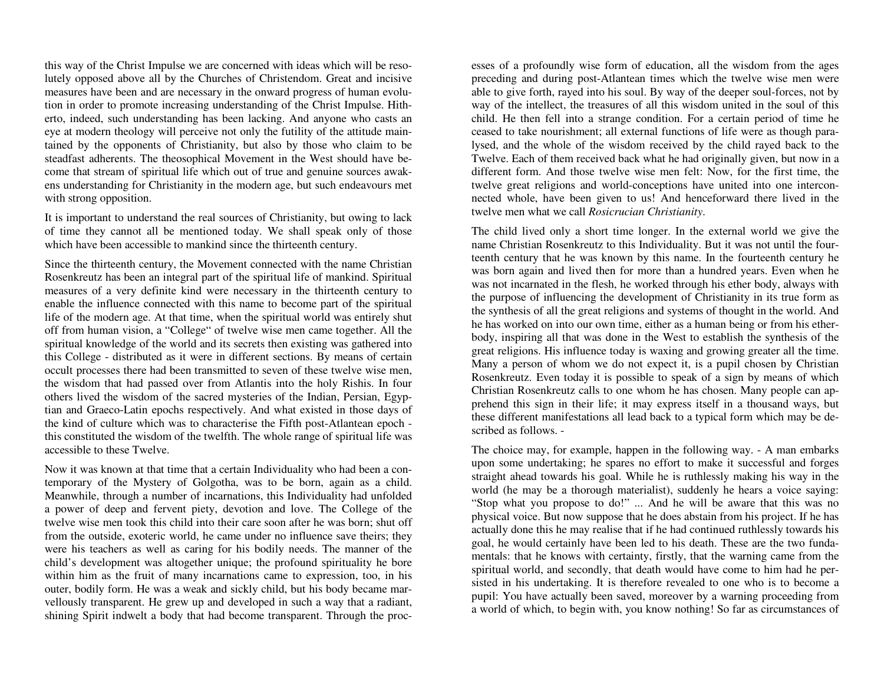this way of the Christ Impulse we are concerned with ideas which will be resolutely opposed above all by the Churches of Christendom. Great and incisive measures have been and are necessary in the onward progress of human evolution in order to promote increasing understanding of the Christ Impulse. Hitherto, indeed, such understanding has been lacking. And anyone who casts an eye at modern theology will perceive not only the futility of the attitude maintained by the opponents of Christianity, but also by those who claim to be steadfast adherents. The theosophical Movement in the West should have become that stream of spiritual life which out of true and genuine sources awakens understanding for Christianity in the modern age, but such endeavours met with strong opposition.

It is important to understand the real sources of Christianity, but owing to lack of time they cannot all be mentioned today. We shall speak only of those which have been accessible to mankind since the thirteenth century.

Since the thirteenth century, the Movement connected with the name Christian Rosenkreutz has been an integral part of the spiritual life of mankind. Spiritual measures of a very definite kind were necessary in the thirteenth century to enable the influence connected with this name to become part of the spiritual life of the modern age. At that time, when the spiritual world was entirely shut off from human vision, a "College" of twelve wise men came together. All the spiritual knowledge of the world and its secrets then existing was gathered into this College - distributed as it were in different sections. By means of certain occult processes there had been transmitted to seven of these twelve wise men, the wisdom that had passed over from Atlantis into the holy Rishis. In four others lived the wisdom of the sacred mysteries of the Indian, Persian, Egyptian and Graeco-Latin epochs respectively. And what existed in those days of the kind of culture which was to characterise the Fifth post-Atlantean epoch this constituted the wisdom of the twelfth. The whole range of spiritual life was accessible to these Twelve.

Now it was known at that time that a certain Individuality who had been a contemporary of the Mystery of Golgotha, was to be born, again as a child. Meanwhile, through a number of incarnations, this Individuality had unfolded a power of deep and fervent piety, devotion and love. The College of the twelve wise men took this child into their care soon after he was born; shut off from the outside, exoteric world, he came under no influence save theirs; they were his teachers as well as caring for his bodily needs. The manner of the child's development was altogether unique; the profound spirituality he bore within him as the fruit of many incarnations came to expression, too, in his outer, bodily form. He was a weak and sickly child, but his body became marvellously transparent. He grew up and developed in such a way that a radiant, shining Spirit indwelt a body that had become transparent. Through the proc-

esses of a profoundly wise form of education, all the wisdom from the ages<br>preceding and during post-Atlantean times which the twelve wise men were<br>able to give forth, rayed into his soul. By way of the deeper soul-forces, lysed, and the whole of the wisdom received by the child rayed back to the Twelve. Each of them received back what he had originally given, but now in a different form. And those twelve wise men felt: Now, for the first time, the twelve great religions and world-conceptions have united into one i nected whole, have been given to us! And henceforward there lived in the

twelve men what we call *Rosicrucian Christianity*.<br>The child lived only a short time longer. In the external world we give the<br>name Christian Rosenkreutz to this Individuality. But it was not until the fourteenth century that he was known by this name. In the fourteenth century he was born again and lived then for more than a hundred years. Even when he was not incarnated in the flesh, he worked through his ether body, always with the purpose of influencing the development of Christianity in its tru body, inspiring all that was done in the West to establish the synthesis of the great religions. His influence today is waxing and growing greater all the time.<br>Many a person of whom we do not expect it, is a pupil chosen by Christian<br>Rosenkreutz. Even today it is possible to speak of a sign by means prehend this sign in their life; it may express itself in a thousand ways, but these different manifestations all lead back to a typical form which may be de-

scribed as follows. -<br>The choice may, for example, happen in the following way. - A man embarks<br>upon some undertaking; he spares no effort to make it successful and forges<br>straight ahead towards his goal. While he is ruthl mentals: that he knows with certainty, firstly, that the warning came from the spiritual world, and secondly, that death would have come to him had he persisted in his undertaking. It is therefore revealed to one who is to become a pupil: You have actually been saved, moreover by a warning proceeding from<br>a world of which, to begin with, you know nothing! So far as circumstances of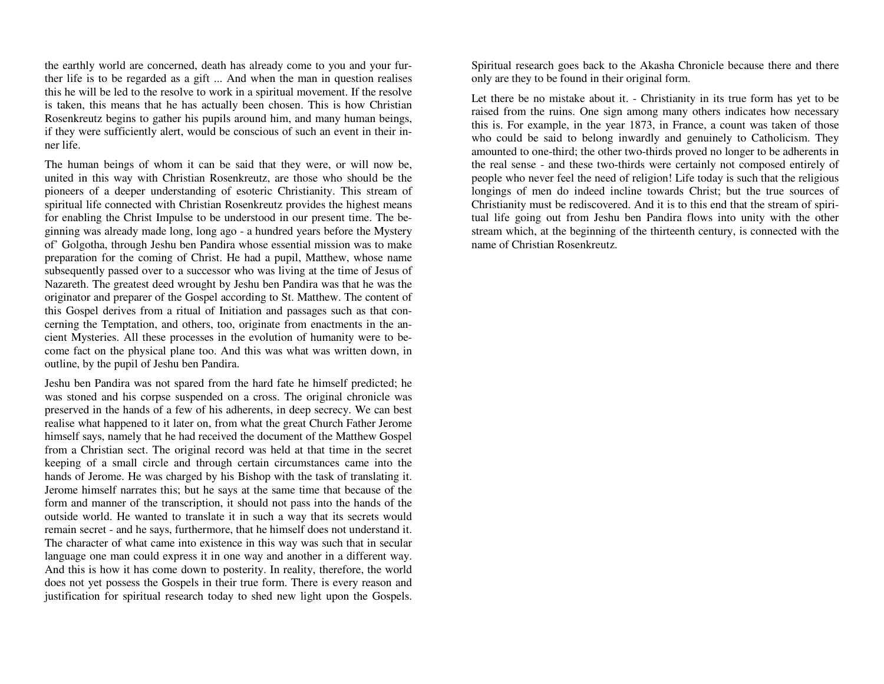the earthly world are concerned, death has already come to you and your further life is to be regarded as a gift ... And when the man in question realises this he will be led to the resolve to work in a spiritual movement. If the resolve is taken, this means that he has actually been chosen. This is how Christian Rosenkreutz begins to gather his pupils around him, and many human beings, if they were sufficiently alert, would be conscious of such an event in their inner life.

The human beings of whom it can be said that they were, or will now be, united in this way with Christian Rosenkreutz, are those who should be the pioneers of a deeper understanding of esoteric Christianity. This stream of spiritual life connected with Christian Rosenkreutz provides the highest means for enabling the Christ Impulse to be understood in our present time. The beginning was already made long, long ago - a hundred years before the Mystery of' Golgotha, through Jeshu ben Pandira whose essential mission was to make preparation for the coming of Christ. He had a pupil, Matthew, whose name subsequently passed over to a successor who was living at the time of Jesus of Nazareth. The greatest deed wrought by Jeshu ben Pandira was that he was the originator and preparer of the Gospel according to St. Matthew. The content of this Gospel derives from a ritual of Initiation and passages such as that concerning the Temptation, and others, too, originate from enactments in the ancient Mysteries. All these processes in the evolution of humanity were to become fact on the physical plane too. And this was what was written down, in outline, by the pupil of Jeshu ben Pandira.

Jeshu ben Pandira was not spared from the hard fate he himself predicted; he was stoned and his corpse suspended on a cross. The original chronicle was preserved in the hands of a few of his adherents, in deep secrecy. We can best realise what happened to it later on, from what the great Church Father Jerome himself says, namely that he had received the document of the Matthew Gospel from a Christian sect. The original record was held at that time in the secret keeping of a small circle and through certain circumstances came into the hands of Jerome. He was charged by his Bishop with the task of translating it. Jerome himself narrates this; but he says at the same time that because of the form and manner of the transcription, it should not pass into the hands of the outside world. He wanted to translate it in such a way that its secrets would remain secret - and he says, furthermore, that he himself does not understand it. The character of what came into existence in this way was such that in secular language one man could express it in one way and another in a different way. And this is how it has come down to posterity. In reality, therefore, the world does not yet possess the Gospels in their true form. There is every reason and justification for spiritual research today to shed new light upon the Gospels. Spiritual research goes back to the Akasha Chronicle because there and there only are they to be found in their original form.

Let there be no mistake about it. - Christianity in its true form has yet to be raised from the ruins. One sign among many others indicates how necessary this is. For example, in the year 1873, in France, a count was taken of those who could be said to belong inwardly and genuinely to Catholicism. They amounted to one-third; the other two-thirds proved no longer to be adherents in the real sense - and these two-thirds were certainly not composed entirely of people who never feel the need of religion! Life today is such that the religious longings of men do indeed incline towards Christ; but the true sources of Christianity must be rediscovered. And it is to this end that the stream of spiritual life going out from Jeshu ben Pandira flows into unity with the other stream which, at the beginning of the thirteenth century, is connected with the name of Christian Rosenkreutz.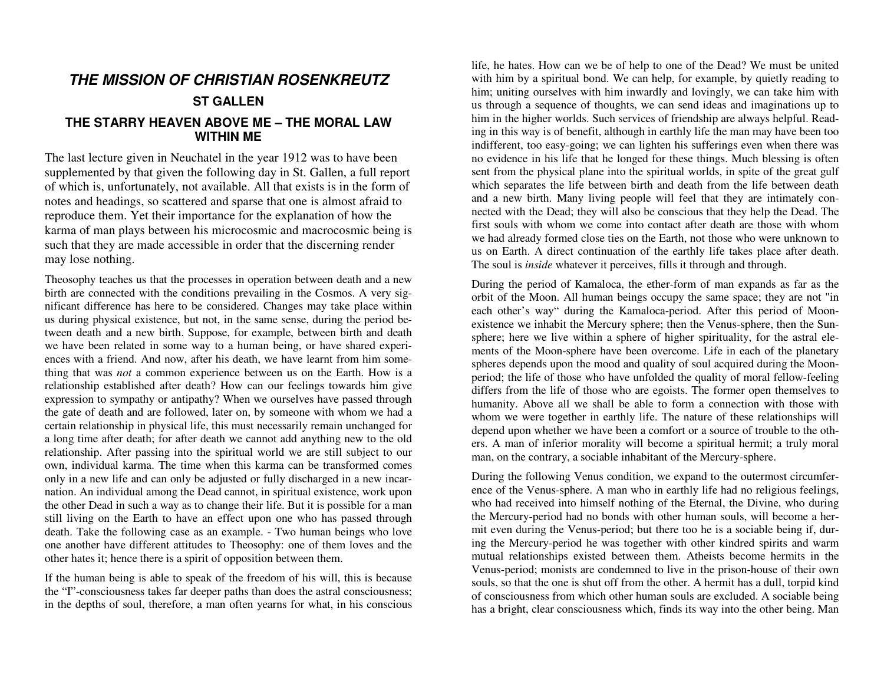# **THE MISSION OF CHRISTIAN ROSENKREUTZ**

### **ST GALLEN**

### **THE STARRY HEAVEN ABOVE ME – THE MORAL LAW WITHIN ME**

The last lecture given in Neuchatel in the year 1912 was to have been supplemented by that given the following day in St. Gallen, a full report of which is, unfortunately, not available. All that exists is in the form of notes and headings, so scattered and sparse that one is almost afraid to reproduce them. Yet their importance for the explanation of how the karma of man plays between his microcosmic and macrocosmic being is such that they are made accessible in order that the discerning render may lose nothing.

Theosophy teaches us that the processes in operation between death and a new birth are connected with the conditions prevailing in the Cosmos. A very significant difference has here to be considered. Changes may take place within us during physical existence, but not, in the same sense, during the period between death and a new birth. Suppose, for example, between birth and death we have been related in some way to a human being, or have shared experiences with a friend. And now, after his death, we have learnt from him something that was *not* a common experience between us on the Earth. How is a relationship established after death? How can our feelings towards him give expression to sympathy or antipathy? When we ourselves have passed through the gate of death and are followed, later on, by someone with whom we had a certain relationship in physical life, this must necessarily remain unchanged for a long time after death; for after death we cannot add anything new to the old relationship. After passing into the spiritual world we are still subject to our own, individual karma. The time when this karma can be transformed comes only in a new life and can only be adjusted or fully discharged in a new incarnation. An individual among the Dead cannot, in spiritual existence, work upon the other Dead in such a way as to change their life. But it is possible for a man still living on the Earth to have an effect upon one who has passed through death. Take the following case as an example. - Two human beings who love one another have different attitudes to Theosophy: one of them loves and the other hates it; hence there is a spirit of opposition between them.

If the human being is able to speak of the freedom of his will, this is because the "I"-consciousness takes far deeper paths than does the astral consciousness; in the depths of soul, therefore, a man often yearns for what, in his conscious life, he hates. How can we be of help to one of the Dead? We must be united with him by a spiritual bond. We can help, for example, by quietly reading to him; uniting ourselves with him inwardly and lovingly, we can take him with us through a sequence of thoughts, we can send ideas and imaginations up to him in the higher worlds. Such services of friendship are always helpful. Reading in this way is of benefit, although in earthly life the man may have been too indifferent, too easy-going; we can lighten his sufferings even when there was no evidence in his life that he longed for these things. Much blessing is often sent from the physical plane into the spiritual worlds, in spite of the great gulf which separates the life between birth and death from the life between death and a new birth. Many living people will feel that they are intimately connected with the Dead; they will also be conscious that they help the Dead. The first souls with whom we come into contact after death are those with whom we had already formed close ties on the Earth, not those who were unknown to us on Earth. A direct continuation of the earthly life takes place after death. The soul is *inside* whatever it perceives, fills it through and through.

During the period of Kamaloca, the ether-form of man expands as far as the orbit of the Moon. All human beings occupy the same space; they are not "in each other's way" during the Kamaloca-period. After this period of Moonexistence we inhabit the Mercury sphere; then the Venus-sphere, then the Sunsphere; here we live within a sphere of higher spirituality, for the astral elements of the Moon-sphere have been overcome. Life in each of the planetary spheres depends upon the mood and quality of soul acquired during the Moonperiod; the life of those who have unfolded the quality of moral fellow-feeling differs from the life of those who are egoists. The former open themselves to humanity. Above all we shall be able to form a connection with those with whom we were together in earthly life. The nature of these relationships will depend upon whether we have been a comfort or a source of trouble to the others. A man of inferior morality will become a spiritual hermit; a truly moral man, on the contrary, a sociable inhabitant of the Mercury-sphere.

During the following Venus condition, we expand to the outermost circumference of the Venus-sphere. A man who in earthly life had no religious feelings, who had received into himself nothing of the Eternal, the Divine, who during the Mercury-period had no bonds with other human souls, will become a hermit even during the Venus-period; but there too he is a sociable being if, during the Mercury-period he was together with other kindred spirits and warm mutual relationships existed between them. Atheists become hermits in the Venus-period; monists are condemned to live in the prison-house of their own souls, so that the one is shut off from the other. A hermit has a dull, torpid kind of consciousness from which other human souls are excluded. A sociable being has a bright, clear consciousness which, finds its way into the other being. Man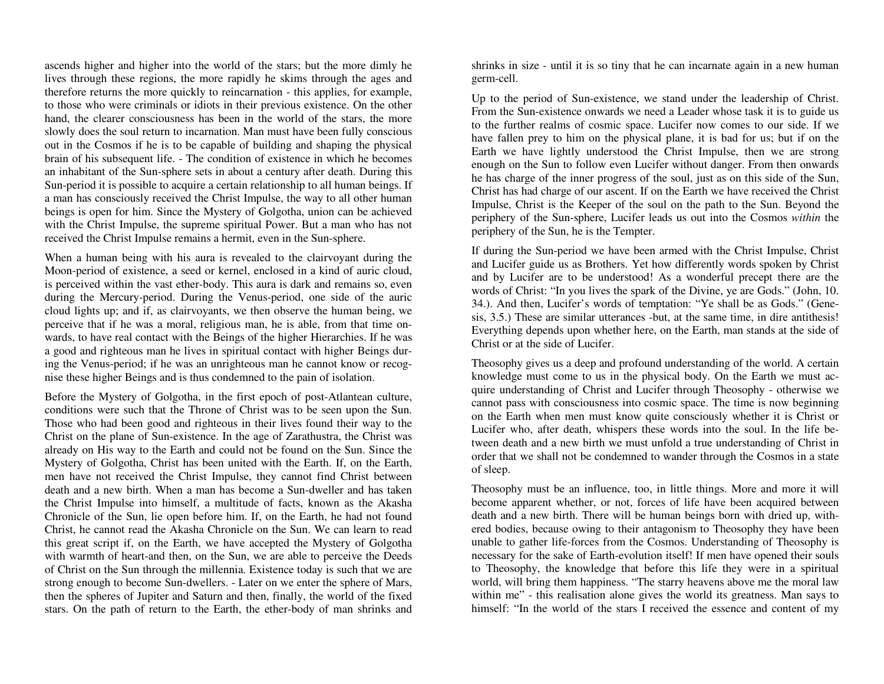ascends higher and higher into the world of the stars; but the more dimly he lives through these regions, the more rapidly he skims through the ages and therefore returns the more quickly to reincarnation - this applies, for example, to those who were criminals or idiots in their previous existence. On the other hand, the clearer consciousness has been in the world of the stars, the more slowly does the soul return to incarnation. Man must have been fully conscious out in the Cosmos if he is to be capable of building and shaping the physical brain of his subsequent life. - The condition of existence in which he becomes an inhabitant of the Sun-sphere sets in about a century after death. During this Sun-period it is possible to acquire a certain relationship to all human beings. If a man has consciously received the Christ Impulse, the way to all other human beings is open for him. Since the Mystery of Golgotha, union can be achieved with the Christ Impulse, the supreme spiritual Power. But a man who has not received the Christ Impulse remains a hermit, even in the Sun-sphere.

When a human being with his aura is revealed to the clairvoyant during the Moon-period of existence, a seed or kernel, enclosed in a kind of auric cloud, is perceived within the vast ether-body. This aura is dark and remains so, even during the Mercury-period. During the Venus-period, one side of the auric cloud lights up; and if, as clairvoyants, we then observe the human being, we perceive that if he was a moral, religious man, he is able, from that time onwards, to have real contact with the Beings of the higher Hierarchies. If he was a good and righteous man he lives in spiritual contact with higher Beings during the Venus-period; if he was an unrighteous man he cannot know or recognise these higher Beings and is thus condemned to the pain of isolation.

Before the Mystery of Golgotha, in the first epoch of post-Atlantean culture, conditions were such that the Throne of Christ was to be seen upon the Sun. Those who had been good and righteous in their lives found their way to the Christ on the plane of Sun-existence. In the age of Zarathustra, the Christ was already on His way to the Earth and could not be found on the Sun. Since the Mystery of Golgotha, Christ has been united with the Earth. If, on the Earth, men have not received the Christ Impulse, they cannot find Christ between death and a new birth. When a man has become a Sun-dweller and has taken the Christ Impulse into himself, a multitude of facts, known as the Akasha Chronicle of the Sun, lie open before him. If, on the Earth, he had not found Christ, he cannot read the Akasha Chronicle on the Sun. We can learn to read this great script if, on the Earth, we have accepted the Mystery of Golgotha with warmth of heart-and then, on the Sun, we are able to perceive the Deeds of Christ on the Sun through the millennia. Existence today is such that we are strong enough to become Sun-dwellers. - Later on we enter the sphere of Mars, then the spheres of Jupiter and Saturn and then, finally, the world of the fixed stars. On the path of return to the Earth, the ether-body of man shrinks and

shrinks in size - until it is so tiny that he can incarnate again in a new human germ-cell.

Up to the period of Sun-existence, we stand under the leadership of Christ. From the Sun-existence onwards we need a Leader whose task it is to guide us to the further realms of cosmic space. Lucifer now comes to our side. If we have fallen prey to him on the physical plane, it is bad for us; but if on the Earth we have lightly understood the Christ Impulse, then we are strong enough on the Sun to follow even Lucifer without danger. From then onwards he has charge of the inner progress of the soul, just as on this side of the Sun, Christ has had charge of our ascent. If on the Earth we have received the Christ Impulse, Christ is the Keeper of the soul on the path to the Sun. Beyond the periphery of the Sun-sphere, Lucifer leads us out into the Cosmos *within* the periphery of the Sun, he is the Tempter.

If during the Sun-period we have been armed with the Christ Impulse, Christ and Lucifer guide us as Brothers. Yet how differently words spoken by Christ and by Lucifer are to be understood! As a wonderful precept there are the words of Christ: "In you lives the spark of the Divine, ye are Gods." (John, 10. 34.). And then, Lucifer's words of temptation: "Ye shall be as Gods." (Genesis, 3.5.) These are similar utterances -but, at the same time, in dire antithesis! Everything depends upon whether here, on the Earth, man stands at the side of Christ or at the side of Lucifer.

Theosophy gives us a deep and profound understanding of the world. A certain knowledge must come to us in the physical body. On the Earth we must acquire understanding of Christ and Lucifer through Theosophy - otherwise we cannot pass with consciousness into cosmic space. The time is now beginning on the Earth when men must know quite consciously whether it is Christ or Lucifer who, after death, whispers these words into the soul. In the life between death and a new birth we must unfold a true understanding of Christ in order that we shall not be condemned to wander through the Cosmos in a state of sleep.

Theosophy must be an influence, too, in little things. More and more it will become apparent whether, or not, forces of life have been acquired between death and a new birth. There will be human beings born with dried up, withered bodies, because owing to their antagonism to Theosophy they have been unable to gather life-forces from the Cosmos. Understanding of Theosophy is necessary for the sake of Earth-evolution itself! If men have opened their souls to Theosophy, the knowledge that before this life they were in a spiritual world, will bring them happiness. "The starry heavens above me the moral law within me" - this realisation alone gives the world its greatness. Man says to himself: "In the world of the stars I received the essence and content of my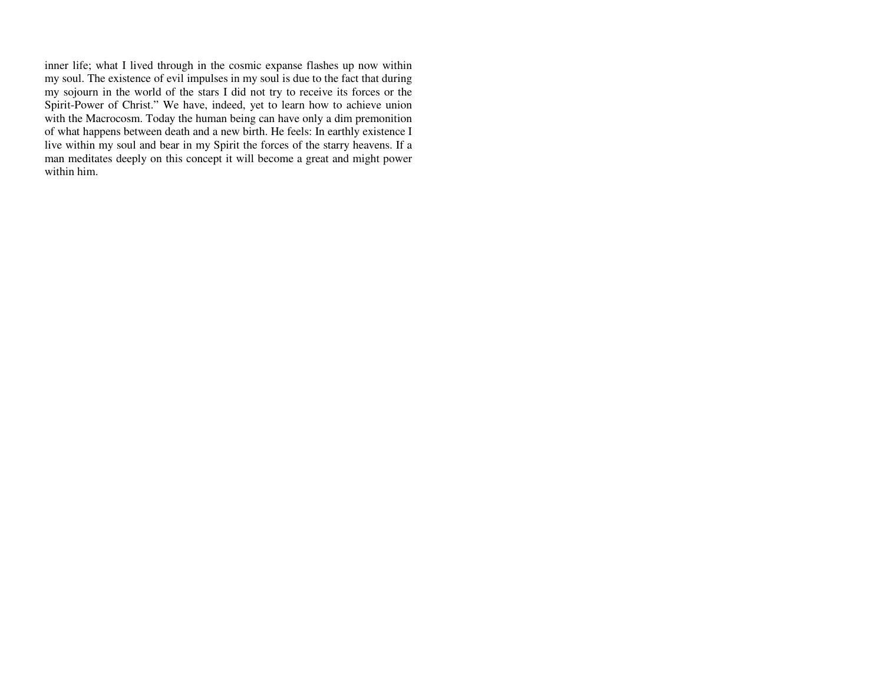inner life; what I lived through in the cosmic expanse flashes up now within my soul. The existence of evil impulses in my soul is due to the fact that during my sojourn in the world of the stars I did not try to receive its forces or the Spirit-Power of Christ." We have, indeed, yet to learn how to achieve union with the Macrocosm. Today the human being can have only a dim premonition of what happens between death and a new birth. He feels: In earthly existence I live within my soul and bear in my Spirit the forces of the starry heavens. If a man meditates deeply on this concept it will become a great and might power within him.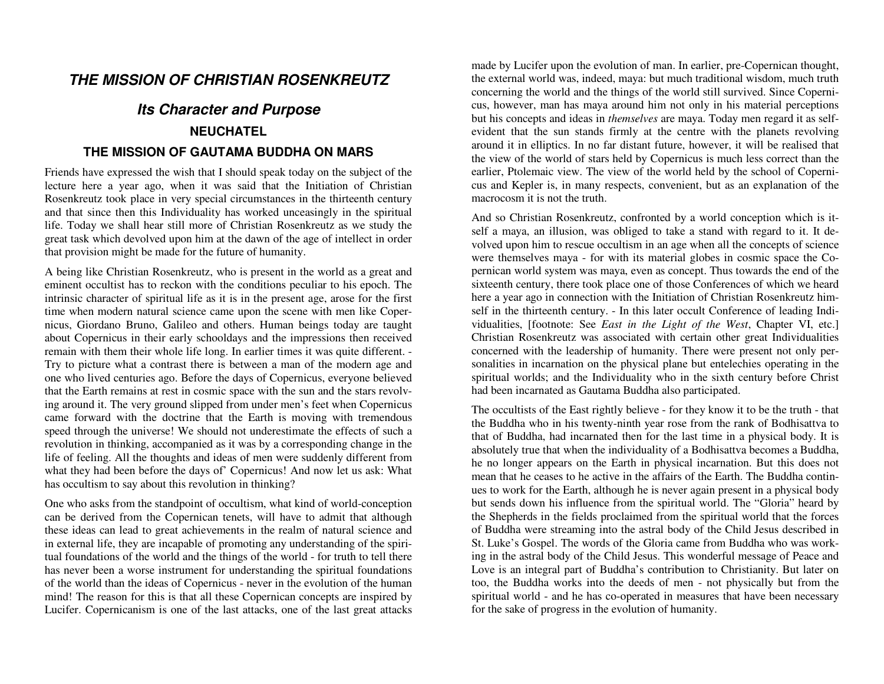# **THE MISSION OF CHRISTIAN ROSENKREUTZ**

# **Its Character and Purpose NEUCHATEL THE MISSION OF GAUTAMA BUDDHA ON MARS**

#### Friends have expressed the wish that I should speak today on the subject of the lecture here a year ago, when it was said that the Initiation of Christian Rosenkreutz took place in very special circumstances in the thirteenth century and that since then this Individuality has worked unceasingly in the spiritual life. Today we shall hear still more of Christian Rosenkreutz as we study the great task which devolved upon him at the dawn of the age of intellect in order that provision might be made for the future of humanity.

A being like Christian Rosenkreutz, who is present in the world as a great and eminent occultist has to reckon with the conditions peculiar to his epoch. The intrinsic character of spiritual life as it is in the present age, arose for the first time when modern natural science came upon the scene with men like Copernicus, Giordano Bruno, Galileo and others. Human beings today are taught about Copernicus in their early schooldays and the impressions then received remain with them their whole life long. In earlier times it was quite different. - Try to picture what a contrast there is between a man of the modern age and one who lived centuries ago. Before the days of Copernicus, everyone believed that the Earth remains at rest in cosmic space with the sun and the stars revolving around it. The very ground slipped from under men's feet when Copernicus came forward with the doctrine that the Earth is moving with tremendous speed through the universe! We should not underestimate the effects of such a revolution in thinking, accompanied as it was by a corresponding change in the life of feeling. All the thoughts and ideas of men were suddenly different from what they had been before the days of' Copernicus! And now let us ask: What has occultism to say about this revolution in thinking?

One who asks from the standpoint of occultism, what kind of world-conception can be derived from the Copernican tenets, will have to admit that although these ideas can lead to great achievements in the realm of natural science and in external life, they are incapable of promoting any understanding of the spiritual foundations of the world and the things of the world - for truth to tell there has never been a worse instrument for understanding the spiritual foundations of the world than the ideas of Copernicus - never in the evolution of the human mind! The reason for this is that all these Copernican concepts are inspired by Lucifer. Copernicanism is one of the last attacks, one of the last great attacks

made by Lucifer upon the evolution of man. In earlier, pre-Copernican thought, the external world was, indeed, maya: but much traditional wisdom, much truth concerning the world and the things of the world still survived. Since Copernicus, however, man has maya around him not only in his material perceptions but his concepts and ideas in *themselves* are maya. Today men regard it as selfevident that the sun stands firmly at the centre with the planets revolving around it in elliptics. In no far distant future, however, it will be realised that the view of the world of stars held by Copernicus is much less correct than the earlier, Ptolemaic view. The view of the world held by the school of Copernicus and Kepler is, in many respects, convenient, but as an explanation of the macrocosm it is not the truth.

And so Christian Rosenkreutz, confronted by a world conception which is itself a maya, an illusion, was obliged to take a stand with regard to it. It devolved upon him to rescue occultism in an age when all the concepts of science were themselves maya - for with its material globes in cosmic space the Copernican world system was maya, even as concept. Thus towards the end of the sixteenth century, there took place one of those Conferences of which we heard here a year ago in connection with the Initiation of Christian Rosenkreutz himself in the thirteenth century. - In this later occult Conference of leading Individualities, [footnote: See *East in the Light of the West*, Chapter VI, etc.] Christian Rosenkreutz was associated with certain other great Individualities concerned with the leadership of humanity. There were present not only personalities in incarnation on the physical plane but entelechies operating in the spiritual worlds; and the Individuality who in the sixth century before Christ had been incarnated as Gautama Buddha also participated.

The occultists of the East rightly believe - for they know it to be the truth - that the Buddha who in his twenty-ninth year rose from the rank of Bodhisattva to that of Buddha, had incarnated then for the last time in a physical body. It is absolutely true that when the individuality of a Bodhisattva becomes a Buddha, he no longer appears on the Earth in physical incarnation. But this does not mean that he ceases to he active in the affairs of the Earth. The Buddha continues to work for the Earth, although he is never again present in a physical body but sends down his influence from the spiritual world. The "Gloria" heard by the Shepherds in the fields proclaimed from the spiritual world that the forces of Buddha were streaming into the astral body of the Child Jesus described in St. Luke's Gospel. The words of the Gloria came from Buddha who was working in the astral body of the Child Jesus. This wonderful message of Peace and Love is an integral part of Buddha's contribution to Christianity. But later on too, the Buddha works into the deeds of men - not physically but from the spiritual world - and he has co-operated in measures that have been necessary for the sake of progress in the evolution of humanity.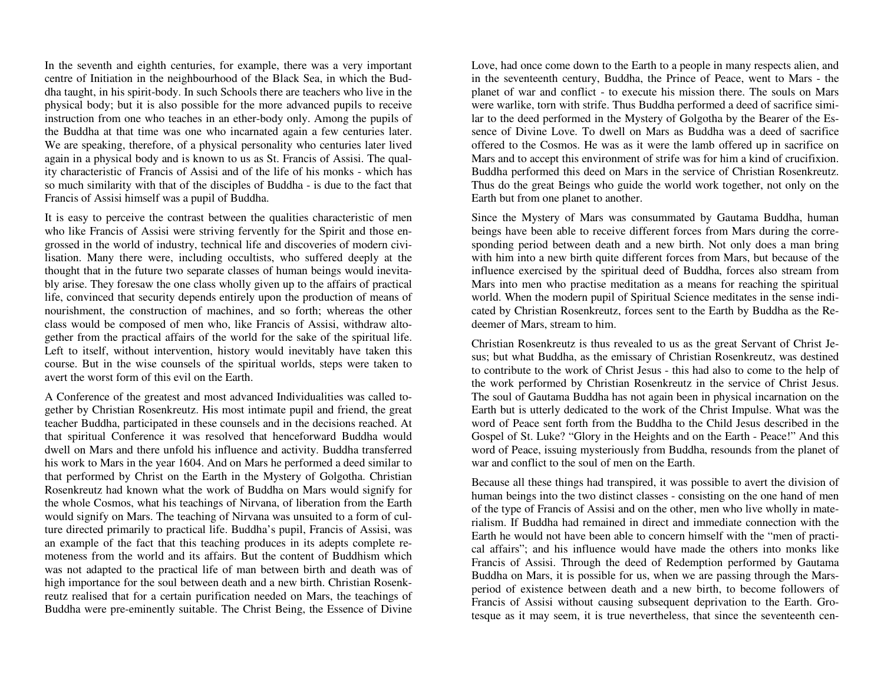In the seventh and eighth centuries, for example, there was a very important centre of Initiation in the neighbourhood of the Black Sea, in which the Buddha taught, in his spirit-body. In such Schools there are teachers who live in the physical body; but it is also possible for the more advanced pupils to receive instruction from one who teaches in an ether-body only. Among the pupils of the Buddha at that time was one who incarnated again a few centuries later. We are speaking, therefore, of a physical personality who centuries later lived again in a physical body and is known to us as St. Francis of Assisi. The quality characteristic of Francis of Assisi and of the life of his monks - which has so much similarity with that of the disciples of Buddha - is due to the fact that Francis of Assisi himself was a pupil of Buddha.

It is easy to perceive the contrast between the qualities characteristic of men who like Francis of Assisi were striving fervently for the Spirit and those engrossed in the world of industry, technical life and discoveries of modern civilisation. Many there were, including occultists, who suffered deeply at the thought that in the future two separate classes of human beings would inevitably arise. They foresaw the one class wholly given up to the affairs of practical life, convinced that security depends entirely upon the production of means of nourishment, the construction of machines, and so forth; whereas the other class would be composed of men who, like Francis of Assisi, withdraw altogether from the practical affairs of the world for the sake of the spiritual life. Left to itself, without intervention, history would inevitably have taken this course. But in the wise counsels of the spiritual worlds, steps were taken to avert the worst form of this evil on the Earth.

A Conference of the greatest and most advanced Individualities was called together by Christian Rosenkreutz. His most intimate pupil and friend, the great teacher Buddha, participated in these counsels and in the decisions reached. At that spiritual Conference it was resolved that henceforward Buddha would dwell on Mars and there unfold his influence and activity. Buddha transferred his work to Mars in the year 1604. And on Mars he performed a deed similar to that performed by Christ on the Earth in the Mystery of Golgotha. Christian Rosenkreutz had known what the work of Buddha on Mars would signify for the whole Cosmos, what his teachings of Nirvana, of liberation from the Earth would signify on Mars. The teaching of Nirvana was unsuited to a form of culture directed primarily to practical life. Buddha's pupil, Francis of Assisi, was an example of the fact that this teaching produces in its adepts complete remoteness from the world and its affairs. But the content of Buddhism which was not adapted to the practical life of man between birth and death was of high importance for the soul between death and a new birth. Christian Rosenkreutz realised that for a certain purification needed on Mars, the teachings of Buddha were pre-eminently suitable. The Christ Being, the Essence of Divine

Love, had once come down to the Earth to a people in many respects alien, and in the seventeenth century, Buddha, the Prince of Peace, went to Mars - the planet of war and conflict - to execute his mission there. The souls on Mars were warlike, torn with strife. Thus Buddha performed a deed of sacrifice similar to the deed performed in the Mystery of Golgotha by the Bearer of the Essence of Divine Love. To dwell on Mars as Buddha was a deed of sacrifice offered to the Cosmos. He was as it were the lamb offered up in sacrifice on Mars and to accept this environment of strife was for him a kind of crucifixion. Buddha performed this deed on Mars in the service of Christian Rosenkreutz. Thus do the great Beings who guide the world work together, not only on the Earth but from one planet to another.

Since the Mystery of Mars was consummated by Gautama Buddha, human beings have been able to receive different forces from Mars during the corresponding period between death and a new birth. Not only does a man bring with him into a new birth quite different forces from Mars, but because of the influence exercised by the spiritual deed of Buddha, forces also stream from Mars into men who practise meditation as a means for reaching the spiritual world. When the modern pupil of Spiritual Science meditates in the sense indicated by Christian Rosenkreutz, forces sent to the Earth by Buddha as the Redeemer of Mars, stream to him.

Christian Rosenkreutz is thus revealed to us as the great Servant of Christ Jesus; but what Buddha, as the emissary of Christian Rosenkreutz, was destined to contribute to the work of Christ Jesus - this had also to come to the help of the work performed by Christian Rosenkreutz in the service of Christ Jesus. The soul of Gautama Buddha has not again been in physical incarnation on the Earth but is utterly dedicated to the work of the Christ Impulse. What was the word of Peace sent forth from the Buddha to the Child Jesus described in the Gospel of St. Luke? "Glory in the Heights and on the Earth - Peace!" And this word of Peace, issuing mysteriously from Buddha, resounds from the planet of war and conflict to the soul of men on the Earth.

Because all these things had transpired, it was possible to avert the division of human beings into the two distinct classes - consisting on the one hand of men of the type of Francis of Assisi and on the other, men who live wholly in materialism. If Buddha had remained in direct and immediate connection with the Earth he would not have been able to concern himself with the "men of practical affairs"; and his influence would have made the others into monks like Francis of Assisi. Through the deed of Redemption performed by Gautama Buddha on Mars, it is possible for us, when we are passing through the Marsperiod of existence between death and a new birth, to become followers of Francis of Assisi without causing subsequent deprivation to the Earth. Grotesque as it may seem, it is true nevertheless, that since the seventeenth cen